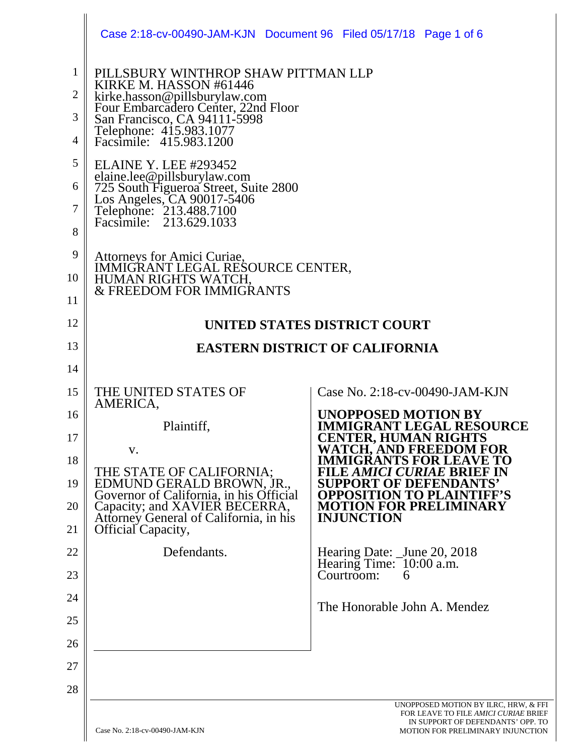|                                                                   | Case 2:18-cv-00490-JAM-KJN Document 96 Filed 05/17/18 Page 1 of 6                                                                                                                                                                                                                                                                                                                                                                                                                                                 |                                                                              |
|-------------------------------------------------------------------|-------------------------------------------------------------------------------------------------------------------------------------------------------------------------------------------------------------------------------------------------------------------------------------------------------------------------------------------------------------------------------------------------------------------------------------------------------------------------------------------------------------------|------------------------------------------------------------------------------|
| $\mathbf{1}$<br>$\overline{2}$<br>3<br>4<br>5<br>6<br>7<br>8<br>9 | PILLSBURY WINTHROP SHAW PITTMAN LLP<br>KIRKE M. HASSON #61446<br>kirke.hasson@pillsburylaw.com<br>Four Embarcadero Center, 22nd Floor<br>San Francisco, CA 94111-5998<br>Telephone: 415.983.1077<br>Facsimile: 415.983.1200<br><b>ELAINE Y. LEE #293452</b><br>elaine.lee@pillsburylaw.com<br>725 South Figueroa Street, Suite 2800<br>Los Angeles, CA 90017-5406<br>Telephone: 213.488.7100<br>Facsimile: 213.629.1033<br>Attorneys for Amici Curiae,<br>IMMIGRANT LEGAL RESOURCE CENTER,<br>HUMAN RIGHTS WATCH, |                                                                              |
| 10                                                                |                                                                                                                                                                                                                                                                                                                                                                                                                                                                                                                   |                                                                              |
| 11                                                                | <b>&amp; FREEDOM FOR IMMIGRANTS</b>                                                                                                                                                                                                                                                                                                                                                                                                                                                                               |                                                                              |
| 12                                                                |                                                                                                                                                                                                                                                                                                                                                                                                                                                                                                                   | UNITED STATES DISTRICT COURT                                                 |
| 13                                                                |                                                                                                                                                                                                                                                                                                                                                                                                                                                                                                                   | <b>EASTERN DISTRICT OF CALIFORNIA</b>                                        |
| 14                                                                |                                                                                                                                                                                                                                                                                                                                                                                                                                                                                                                   |                                                                              |
| 15                                                                | THE UNITED STATES OF                                                                                                                                                                                                                                                                                                                                                                                                                                                                                              | Case No. 2:18-cv-00490-JAM-KJN                                               |
| 16                                                                | AMERICA,                                                                                                                                                                                                                                                                                                                                                                                                                                                                                                          | <b>UNOPPOSED MOTION BY</b>                                                   |
| 17                                                                | Plaintiff,                                                                                                                                                                                                                                                                                                                                                                                                                                                                                                        | <b>IMMIGRANT LEGAL RESOURCE</b><br><b>CENTER, HUMAN RIGHTS</b>               |
| 18                                                                | V.                                                                                                                                                                                                                                                                                                                                                                                                                                                                                                                | WATCH, AND FREEDOM FOR<br><b>IMMIGRANTS FOR LEAVE TO</b>                     |
| 19                                                                | THE STATE OF CALIFORNIA;<br>EDMUND GERALD BROWN, JR., Governor of California, in his Official                                                                                                                                                                                                                                                                                                                                                                                                                     | FILE AMICI CURIAE BRIEF IN<br><b>SUPPORT OF DEFENDANTS'</b>                  |
| 20                                                                | Capacity; and XAVIER BECERRA,                                                                                                                                                                                                                                                                                                                                                                                                                                                                                     | <b>OPPOSITION TO PLAINT</b><br><b>MOTION FOR PRELIMINARY</b>                 |
| 21                                                                | Attorney General of California, in his<br>Official Capacity,                                                                                                                                                                                                                                                                                                                                                                                                                                                      | <b>INJUNCTION</b>                                                            |
| 22                                                                | Defendants.                                                                                                                                                                                                                                                                                                                                                                                                                                                                                                       | Hearing Date: _June 20, 2018                                                 |
| 23                                                                |                                                                                                                                                                                                                                                                                                                                                                                                                                                                                                                   | Hearing Time: 10:00 a.m.<br>Courtroom:<br>6                                  |
| 24                                                                |                                                                                                                                                                                                                                                                                                                                                                                                                                                                                                                   | The Honorable John A. Mendez                                                 |
| 25                                                                |                                                                                                                                                                                                                                                                                                                                                                                                                                                                                                                   |                                                                              |
| 26                                                                |                                                                                                                                                                                                                                                                                                                                                                                                                                                                                                                   |                                                                              |
| 27                                                                |                                                                                                                                                                                                                                                                                                                                                                                                                                                                                                                   |                                                                              |
| 28                                                                |                                                                                                                                                                                                                                                                                                                                                                                                                                                                                                                   |                                                                              |
|                                                                   |                                                                                                                                                                                                                                                                                                                                                                                                                                                                                                                   | UNOPPOSED MOTION BY ILRC, HRW, & FFI<br>FOR LEAVE TO FILE AMICI CURIAE BRIEF |

 $\parallel$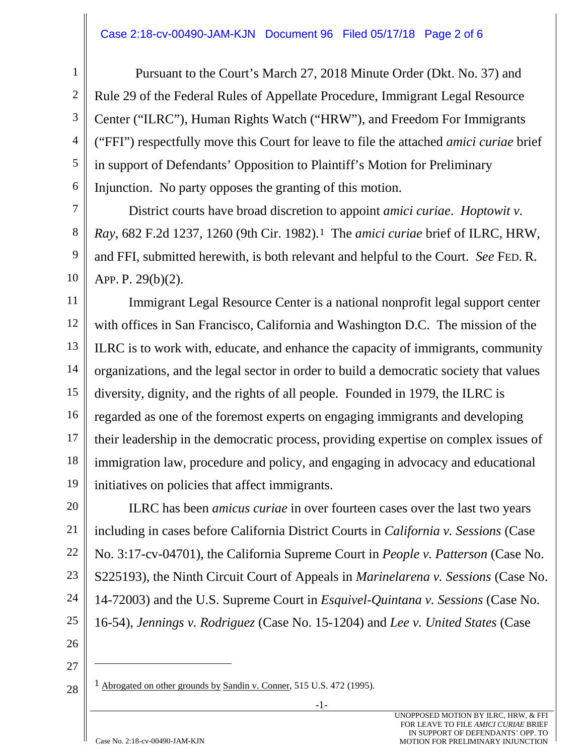#### Case 2:18-cv-00490-JAM-KJN Document 96 Filed 05/17/18 Page 2 of 6

 Pursuant to the Court's March 27, 2018 Minute Order (Dkt. No. 37) and Rule 29 of the Federal Rules of Appellate Procedure, Immigrant Legal Resource Center ("ILRC"), Human Rights Watch ("HRW"), and Freedom For Immigrants ("FFI") respectfully move this Court for leave to file the attached *amici curiae* brief in support of Defendants' Opposition to Plaintiff's Motion for Preliminary Injunction. No party opposes the granting of this motion.

District courts have broad discretion to appoint *amici curiae*. *Hoptowit v. Ray*, 682 F.2d 1237, 1260 (9th Cir. 1982).1 The *amici curiae* brief of ILRC, HRW, and FFI, submitted herewith, is both relevant and helpful to the Court. *See* FED. R. APP. P. 29(b)(2).

11 12 13 14 15 16 17 18 19 Immigrant Legal Resource Center is a national nonprofit legal support center with offices in San Francisco, California and Washington D.C. The mission of the ILRC is to work with, educate, and enhance the capacity of immigrants, community organizations, and the legal sector in order to build a democratic society that values diversity, dignity, and the rights of all people. Founded in 1979, the ILRC is regarded as one of the foremost experts on engaging immigrants and developing their leadership in the democratic process, providing expertise on complex issues of immigration law, procedure and policy, and engaging in advocacy and educational initiatives on policies that affect immigrants.

20 21 22 23 24 25 ILRC has been *amicus curiae* in over fourteen cases over the last two years including in cases before California District Courts in *California v. Sessions* (Case No. 3:17-cv-04701), the California Supreme Court in *People v. Patterson* (Case No. S225193), the Ninth Circuit Court of Appeals in *Marinelarena v. Sessions* (Case No. 14-72003) and the U.S. Supreme Court in *Esquivel-Quintana v. Sessions* (Case No. 16-54), *Jennings v. Rodriguez* (Case No. 15-1204) and *Lee v. United States* (Case

26

1

2

3

4

5

6

7

8

9

10

27

28

 $\overline{a}$ 

1 Abrogated on other grounds by Sandin v. Conner, 515 U.S. 472 (1995).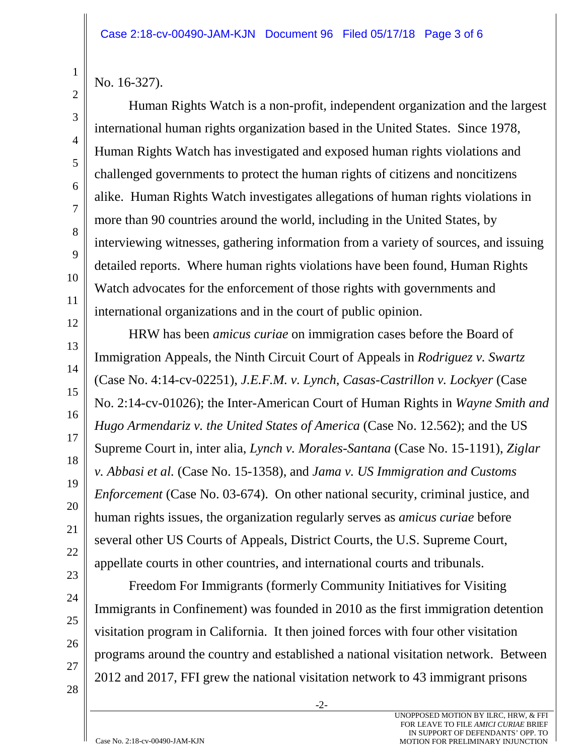No. 16-327).

1

2

3

4

5

6

7

8

9

10

11

12

13

14

15

16

17

18

19

20

21

22

23

24

25

26

Human Rights Watch is a non-profit, independent organization and the largest international human rights organization based in the United States. Since 1978, Human Rights Watch has investigated and exposed human rights violations and challenged governments to protect the human rights of citizens and noncitizens alike. Human Rights Watch investigates allegations of human rights violations in more than 90 countries around the world, including in the United States, by interviewing witnesses, gathering information from a variety of sources, and issuing detailed reports. Where human rights violations have been found, Human Rights Watch advocates for the enforcement of those rights with governments and international organizations and in the court of public opinion.

HRW has been *amicus curiae* on immigration cases before the Board of Immigration Appeals, the Ninth Circuit Court of Appeals in *Rodriguez v. Swartz* (Case No. 4:14-cv-02251), *J.E.F.M. v. Lynch*, *Casas-Castrillon v. Lockyer* (Case No. 2:14-cv-01026); the Inter-American Court of Human Rights in *Wayne Smith and Hugo Armendariz v. the United States of America* (Case No. 12.562); and the US Supreme Court in, inter alia, *Lynch v. Morales-Santana* (Case No. 15-1191), *Ziglar v. Abbasi et al.* (Case No. 15-1358), and *Jama v. US Immigration and Customs Enforcement* (Case No. 03-674). On other national security, criminal justice, and human rights issues, the organization regularly serves as *amicus curiae* before several other US Courts of Appeals, District Courts, the U.S. Supreme Court, appellate courts in other countries, and international courts and tribunals.

Freedom For Immigrants (formerly Community Initiatives for Visiting Immigrants in Confinement) was founded in 2010 as the first immigration detention visitation program in California. It then joined forces with four other visitation programs around the country and established a national visitation network. Between 2012 and 2017, FFI grew the national visitation network to 43 immigrant prisons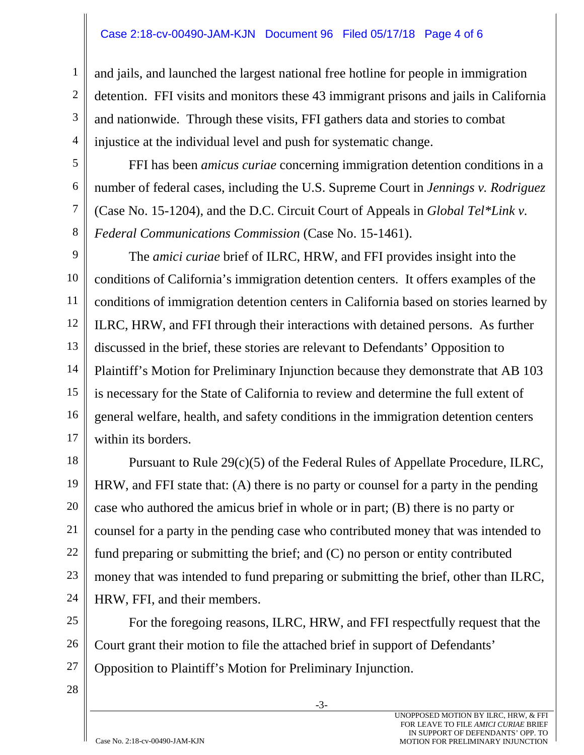#### Case 2:18-cv-00490-JAM-KJN Document 96 Filed 05/17/18 Page 4 of 6

and jails, and launched the largest national free hotline for people in immigration detention. FFI visits and monitors these 43 immigrant prisons and jails in California and nationwide. Through these visits, FFI gathers data and stories to combat injustice at the individual level and push for systematic change.

FFI has been *amicus curiae* concerning immigration detention conditions in a number of federal cases, including the U.S. Supreme Court in *Jennings v. Rodriguez* (Case No. 15-1204), and the D.C. Circuit Court of Appeals in *Global Tel\*Link v. Federal Communications Commission* (Case No. 15-1461).

9 10 11 12 13 14 15 16 17 The *amici curiae* brief of ILRC, HRW, and FFI provides insight into the conditions of California's immigration detention centers. It offers examples of the conditions of immigration detention centers in California based on stories learned by ILRC, HRW, and FFI through their interactions with detained persons. As further discussed in the brief, these stories are relevant to Defendants' Opposition to Plaintiff's Motion for Preliminary Injunction because they demonstrate that AB 103 is necessary for the State of California to review and determine the full extent of general welfare, health, and safety conditions in the immigration detention centers within its borders.

18 19 20 21 22 23 24 Pursuant to Rule 29(c)(5) of the Federal Rules of Appellate Procedure, ILRC, HRW, and FFI state that: (A) there is no party or counsel for a party in the pending case who authored the amicus brief in whole or in part; (B) there is no party or counsel for a party in the pending case who contributed money that was intended to fund preparing or submitting the brief; and (C) no person or entity contributed money that was intended to fund preparing or submitting the brief, other than ILRC, HRW, FFI, and their members.

25 26 For the foregoing reasons, ILRC, HRW, and FFI respectfully request that the Court grant their motion to file the attached brief in support of Defendants' Opposition to Plaintiff's Motion for Preliminary Injunction.

28

27

1

2

3

4

5

6

7

8

-3-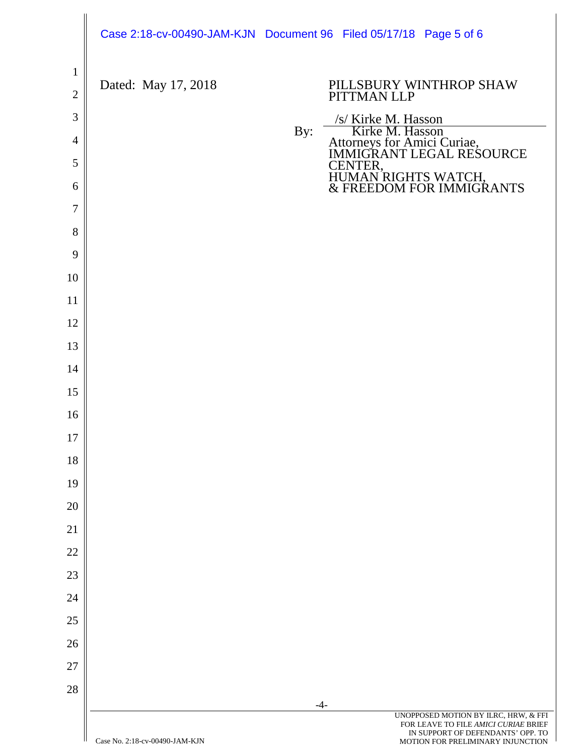|                |                                | Case 2:18-cv-00490-JAM-KJN Document 96 Filed 05/17/18 Page 5 of 6                                                                                               |  |
|----------------|--------------------------------|-----------------------------------------------------------------------------------------------------------------------------------------------------------------|--|
| $\mathbf{1}$   | Dated: May 17, 2018            | PILLSBURY WINTHROP SHAW                                                                                                                                         |  |
| $\mathbf{2}$   |                                | PITTMAN LLP                                                                                                                                                     |  |
| $\mathfrak{Z}$ |                                | /s/ Kirke M. Hasson<br>By:                                                                                                                                      |  |
| $\overline{4}$ |                                | Kirke M. Hasson<br>Attorneys for Amici Curiae,<br>IMMIGRANT LEGAL RESOURCE                                                                                      |  |
| 5              |                                | CENTER,<br>HUMAN RIGHTS WATCH,<br>& FREEDOM FOR IMMIGRANTS                                                                                                      |  |
| 6              |                                |                                                                                                                                                                 |  |
| 7              |                                |                                                                                                                                                                 |  |
| 8              |                                |                                                                                                                                                                 |  |
| 9<br>10        |                                |                                                                                                                                                                 |  |
| 11             |                                |                                                                                                                                                                 |  |
| 12             |                                |                                                                                                                                                                 |  |
| 13             |                                |                                                                                                                                                                 |  |
| 14             |                                |                                                                                                                                                                 |  |
| 15             |                                |                                                                                                                                                                 |  |
| 16             |                                |                                                                                                                                                                 |  |
| 17             |                                |                                                                                                                                                                 |  |
| 18             |                                |                                                                                                                                                                 |  |
| 19             |                                |                                                                                                                                                                 |  |
| 20             |                                |                                                                                                                                                                 |  |
| 21             |                                |                                                                                                                                                                 |  |
| 22             |                                |                                                                                                                                                                 |  |
| 23             |                                |                                                                                                                                                                 |  |
| 24             |                                |                                                                                                                                                                 |  |
| $25\,$         |                                |                                                                                                                                                                 |  |
| 26             |                                |                                                                                                                                                                 |  |
| 27             |                                |                                                                                                                                                                 |  |
| 28             |                                |                                                                                                                                                                 |  |
|                | Case No. 2:18-cv-00490-JAM-KJN | $-4-$<br>UNOPPOSED MOTION BY ILRC, HRW, & FFI<br>FOR LEAVE TO FILE AMICI CURIAE BRIEF<br>IN SUPPORT OF DEFENDANTS' OPP. TO<br>MOTION FOR PRELIMINARY INJUNCTION |  |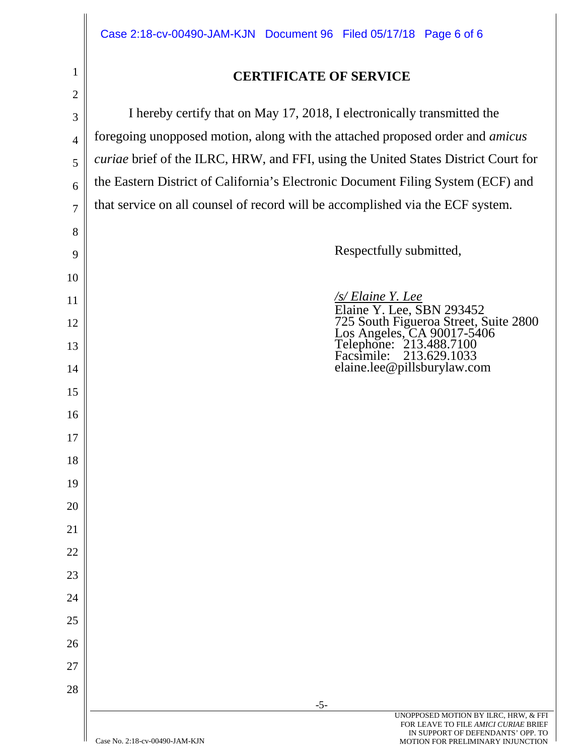# **CERTIFICATE OF SERVICE**

2 3 4 5 6 7 8 9 10 11 12 13 14 15 16 17 18 19 20 21 22 23 24 25 26 27 28 I hereby certify that on May 17, 2018, I electronically transmitted the foregoing unopposed motion, along with the attached proposed order and *amicus curiae* brief of the ILRC, HRW, and FFI, using the United States District Court for the Eastern District of California's Electronic Document Filing System (ECF) and that service on all counsel of record will be accomplished via the ECF system. Respectfully submitted, */s/ Elaine Y. Lee* Elaine Y. Lee, SBN 293452 725 South Figueroa Street, Suite 2800 Los Angeles, CA 90017-5406<br>Telephone: 213.488.7100<br>Facsimile: 213.629.1033 Facsimile: 213.629.1033 elaine.lee@pillsburylaw.com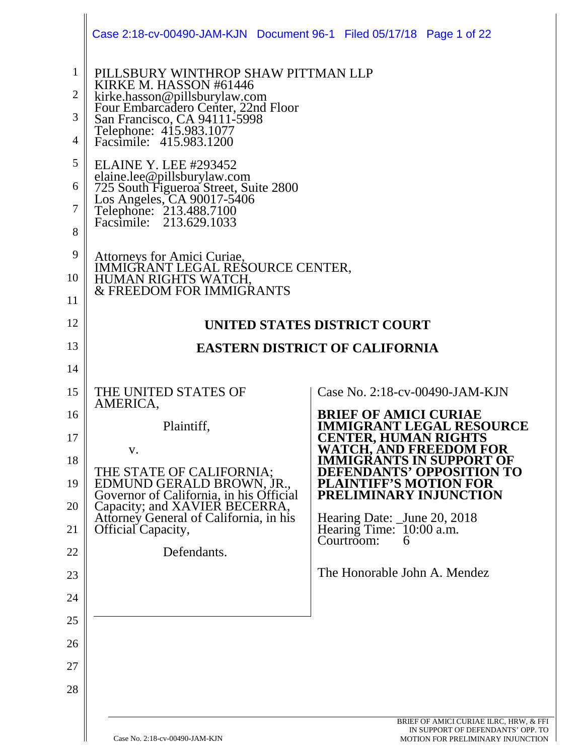|                                                      | Case 2:18-cv-00490-JAM-KJN Document 96-1 Filed 05/17/18 Page 1 of 22                                                                                                                                                                                                                                                                                                                                                                         |                                                                     |
|------------------------------------------------------|----------------------------------------------------------------------------------------------------------------------------------------------------------------------------------------------------------------------------------------------------------------------------------------------------------------------------------------------------------------------------------------------------------------------------------------------|---------------------------------------------------------------------|
| $\mathbf{1}$<br>2<br>3<br>4<br>5<br>6<br>7<br>8<br>9 | PILLSBURY WINTHROP SHAW PITTMAN LLP<br>KIRKE M. HASSON #61446<br>kirke.hasson@pillsburylaw.com<br>Four Embarcadero Center, 22nd Floor<br>San Francisco, CA 94111-5998<br>Telephone: 415.983.1077<br>Facsimile: 415.983.1200<br><b>ELAINE Y. LEE #293452</b><br>EE: HTTLE M25 152<br>elaine.lee@pillsburylaw.com<br>725 South Figueroa Street, Suite 2800<br>Los Angeles, CA 90017-5406<br>Telephone: 213.488.7100<br>Facsimile: 213.629.1033 |                                                                     |
| 10                                                   | Attorneys for Amici Curiae,<br>IMMIGRANT LEGAL RESOURCE CENTER,<br>HUMAN RIGHTS WATCH,                                                                                                                                                                                                                                                                                                                                                       |                                                                     |
| 11                                                   | & FREEDOM FOR IMMIGRANTS                                                                                                                                                                                                                                                                                                                                                                                                                     |                                                                     |
| 12                                                   |                                                                                                                                                                                                                                                                                                                                                                                                                                              | UNITED STATES DISTRICT COURT                                        |
| 13                                                   |                                                                                                                                                                                                                                                                                                                                                                                                                                              | <b>EASTERN DISTRICT OF CALIFORNIA</b>                               |
| 14                                                   |                                                                                                                                                                                                                                                                                                                                                                                                                                              |                                                                     |
| 15                                                   | THE UNITED STATES OF<br>AMERICA,                                                                                                                                                                                                                                                                                                                                                                                                             | Case No. 2:18-cv-00490-JAM-KJN                                      |
| 16                                                   | Plaintiff,                                                                                                                                                                                                                                                                                                                                                                                                                                   | <b>BRIEF OF AMICI CURIAE</b><br><b>IMMIGRANT LEGAL RESOURCE</b>     |
| 17                                                   | V.                                                                                                                                                                                                                                                                                                                                                                                                                                           | <b>CENTER, HUMAN RIGHTS</b><br><b>WATCH, AND FREEDOM FOR</b>        |
| 18                                                   | THE STATE OF CALIFORNIA;                                                                                                                                                                                                                                                                                                                                                                                                                     | <b>IMMIGRANTS IN SUPPORT OF</b><br><b>DEFENDANTS' OPPOSITION TO</b> |
| 19                                                   | EDMUND GERALD BROWN, JR.,<br>Governor of California, in his Official                                                                                                                                                                                                                                                                                                                                                                         | <b>PLAINTIFF'S MOTION FOR</b><br>PRELIMINARY INJUNCTION             |
| 20<br>21                                             | Capacity; and XAVIER BECERRA,<br>Attorney General of California, in his                                                                                                                                                                                                                                                                                                                                                                      | Hearing Date: _June 20, 2018                                        |
| 22                                                   | <b>Official Capacity,</b><br>Defendants.                                                                                                                                                                                                                                                                                                                                                                                                     | Hearing Time: 10:00 a.m.<br>Courtroom:<br>h                         |
| 23                                                   |                                                                                                                                                                                                                                                                                                                                                                                                                                              | The Honorable John A. Mendez                                        |
| 24                                                   |                                                                                                                                                                                                                                                                                                                                                                                                                                              |                                                                     |
| 25                                                   |                                                                                                                                                                                                                                                                                                                                                                                                                                              |                                                                     |
| 26                                                   |                                                                                                                                                                                                                                                                                                                                                                                                                                              |                                                                     |
| 27                                                   |                                                                                                                                                                                                                                                                                                                                                                                                                                              |                                                                     |
| 28                                                   |                                                                                                                                                                                                                                                                                                                                                                                                                                              |                                                                     |
|                                                      |                                                                                                                                                                                                                                                                                                                                                                                                                                              |                                                                     |

 $\mathbb{I}$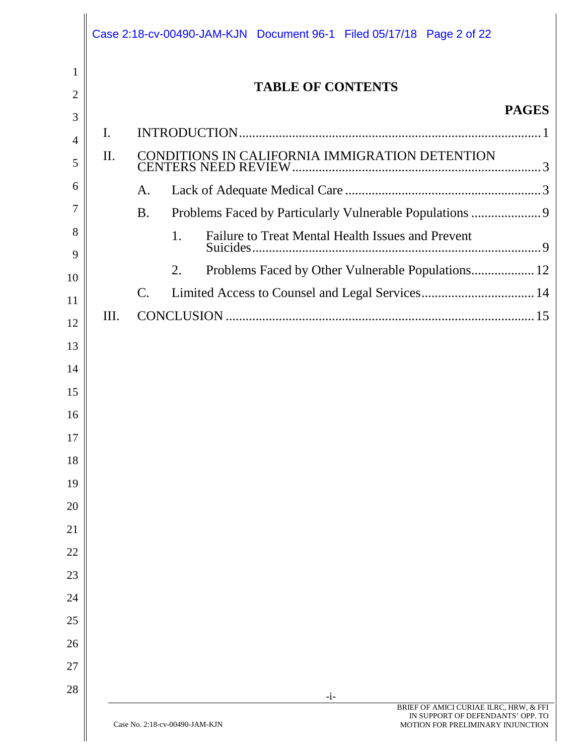|                |      | Case 2:18-cv-00490-JAM-KJN Document 96-1 Filed 05/17/18 Page 2 of 22                                     |              |
|----------------|------|----------------------------------------------------------------------------------------------------------|--------------|
| 1              |      | <b>TABLE OF CONTENTS</b>                                                                                 |              |
| 2              |      |                                                                                                          | <b>PAGES</b> |
| 3              | I.   |                                                                                                          |              |
| $\overline{4}$ | II.  |                                                                                                          |              |
| 5              |      |                                                                                                          |              |
| 6              |      | A.                                                                                                       |              |
| 7<br>8         |      | Problems Faced by Particularly Vulnerable Populations  9<br><b>B.</b>                                    |              |
| 9              |      | Failure to Treat Mental Health Issues and Prevent<br>1.                                                  |              |
| 10             |      | Problems Faced by Other Vulnerable Populations 12<br>2.                                                  |              |
| 11             |      | Limited Access to Counsel and Legal Services 14<br>$\mathsf{C}.$                                         |              |
| 12             | III. |                                                                                                          |              |
| 13             |      |                                                                                                          |              |
| 14             |      |                                                                                                          |              |
| 15             |      |                                                                                                          |              |
| 16             |      |                                                                                                          |              |
| 17             |      |                                                                                                          |              |
| 18             |      |                                                                                                          |              |
| 19             |      |                                                                                                          |              |
| 20             |      |                                                                                                          |              |
| 21             |      |                                                                                                          |              |
| 22             |      |                                                                                                          |              |
| 23             |      |                                                                                                          |              |
| 24             |      |                                                                                                          |              |
| 25             |      |                                                                                                          |              |
| 26             |      |                                                                                                          |              |
| 27             |      |                                                                                                          |              |
| 28             |      | $-i-$<br>BRIEF OF AMICI CURIAE ILRC, HRW, & FFI                                                          |              |
|                |      | IN SUPPORT OF DEFENDANTS' OPP. TO<br>Case No. 2:18-cv-00490-JAM-KJN<br>MOTION FOR PRELIMINARY INJUNCTION |              |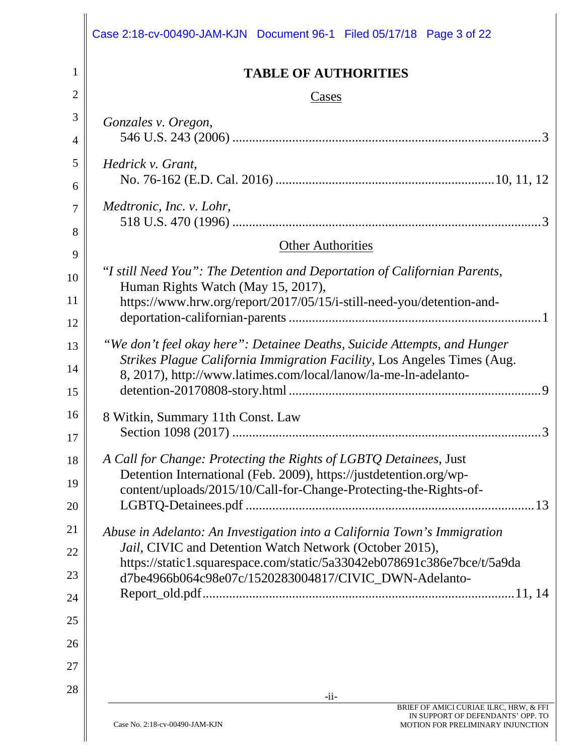|                | Case 2:18-cv-00490-JAM-KJN Document 96-1 Filed 05/17/18 Page 3 of 22                                                                    |
|----------------|-----------------------------------------------------------------------------------------------------------------------------------------|
| 1              | <b>TABLE OF AUTHORITIES</b>                                                                                                             |
| $\overline{2}$ | Cases                                                                                                                                   |
| 3              | Gonzales v. Oregon,                                                                                                                     |
| 4              |                                                                                                                                         |
| 5              | Hedrick v. Grant,                                                                                                                       |
| 6              |                                                                                                                                         |
| 7              | Medtronic, Inc. v. Lohr,                                                                                                                |
| 8              |                                                                                                                                         |
| 9              | <b>Other Authorities</b>                                                                                                                |
| 10             | "I still Need You": The Detention and Deportation of Californian Parents,                                                               |
| 11             | Human Rights Watch (May 15, 2017),<br>https://www.hrw.org/report/2017/05/15/i-still-need-you/detention-and-                             |
| 12             |                                                                                                                                         |
| 13             | "We don't feel okay here": Detainee Deaths, Suicide Attempts, and Hunger                                                                |
| 14             | Strikes Plague California Immigration Facility, Los Angeles Times (Aug.                                                                 |
| 15             | 8, 2017), http://www.latimes.com/local/lanow/la-me-ln-adelanto-                                                                         |
|                |                                                                                                                                         |
| 16             | 8 Witkin, Summary 11th Const. Law<br>3                                                                                                  |
| 17             |                                                                                                                                         |
| 18             | A Call for Change: Protecting the Rights of LGBTQ Detainees, Just<br>Detention International (Feb. 2009), https://justdetention.org/wp- |
| 19             | content/uploads/2015/10/Call-for-Change-Protecting-the-Rights-of-                                                                       |
| 20             | 13                                                                                                                                      |
| 21             | Abuse in Adelanto: An Investigation into a California Town's Immigration                                                                |
| 22             | Jail, CIVIC and Detention Watch Network (October 2015),<br>https://static1.squarespace.com/static/5a33042eb078691c386e7bce/t/5a9da      |
| 23             | d7be4966b064c98e07c/1520283004817/CIVIC_DWN-Adelanto-                                                                                   |
| 24             |                                                                                                                                         |
| 25             |                                                                                                                                         |
| 26             |                                                                                                                                         |
| 27             |                                                                                                                                         |
| 28             |                                                                                                                                         |
|                | $-i$ i-<br>BRIEF OF AMICI CURIAE ILRC, HRW, & FFI                                                                                       |

 $\parallel$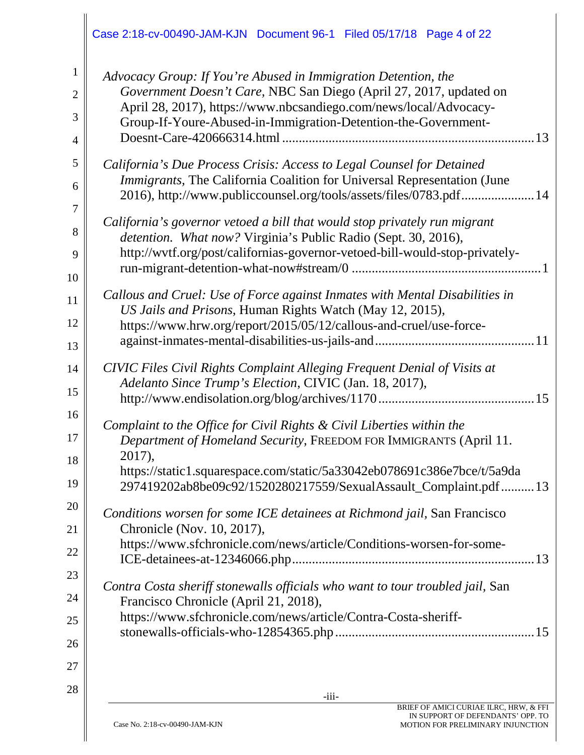|                                          | Case 2:18-cv-00490-JAM-KJN Document 96-1 Filed 05/17/18 Page 4 of 22                                                                                                                                                                                                                                 |
|------------------------------------------|------------------------------------------------------------------------------------------------------------------------------------------------------------------------------------------------------------------------------------------------------------------------------------------------------|
| $\mathbf{1}$<br>$\overline{2}$<br>3<br>4 | Advocacy Group: If You're Abused in Immigration Detention, the<br>Government Doesn't Care, NBC San Diego (April 27, 2017, updated on<br>April 28, 2017), https://www.nbcsandiego.com/news/local/Advocacy-<br>Group-If-Youre-Abused-in-Immigration-Detention-the-Government-                          |
| 5<br>6                                   | California's Due Process Crisis: Access to Legal Counsel for Detained<br><i>Immigrants</i> , The California Coalition for Universal Representation (June<br>2016), http://www.publiccounsel.org/tools/assets/files/0783.pdf 14                                                                       |
| 7<br>8<br>9<br>10                        | California's governor vetoed a bill that would stop privately run migrant<br>detention. What now? Virginia's Public Radio (Sept. 30, 2016),<br>http://wvtf.org/post/californias-governor-vetoed-bill-would-stop-privately-                                                                           |
| 11<br>12<br>13                           | Callous and Cruel: Use of Force against Inmates with Mental Disabilities in<br>US Jails and Prisons, Human Rights Watch (May 12, 2015),<br>https://www.hrw.org/report/2015/05/12/callous-and-cruel/use-force-                                                                                        |
| 14<br>15                                 | CIVIC Files Civil Rights Complaint Alleging Frequent Denial of Visits at<br>Adelanto Since Trump's Election, CIVIC (Jan. 18, 2017),                                                                                                                                                                  |
| 16<br>17<br>18<br>19                     | Complaint to the Office for Civil Rights & Civil Liberties within the<br>Department of Homeland Security, FREEDOM FOR IMMIGRANTS (April 11.<br>2017),<br>https://static1.squarespace.com/static/5a33042eb078691c386e7bce/t/5a9da<br>297419202ab8be09c92/1520280217559/SexualAssault_Complaint.pdf 13 |
| 20<br>21<br>22                           | Conditions worsen for some ICE detainees at Richmond jail, San Francisco<br>Chronicle (Nov. 10, 2017),<br>https://www.sfchronicle.com/news/article/Conditions-worsen-for-some-                                                                                                                       |
| 23<br>24<br>25<br>26                     | Contra Costa sheriff stonewalls officials who want to tour troubled jail, San<br>Francisco Chronicle (April 21, 2018),<br>https://www.sfchronicle.com/news/article/Contra-Costa-sheriff-                                                                                                             |
| 27<br>28                                 | $-iii-$<br>BRIEF OF AMICI CURIAE ILRC, HRW, & FFI                                                                                                                                                                                                                                                    |

I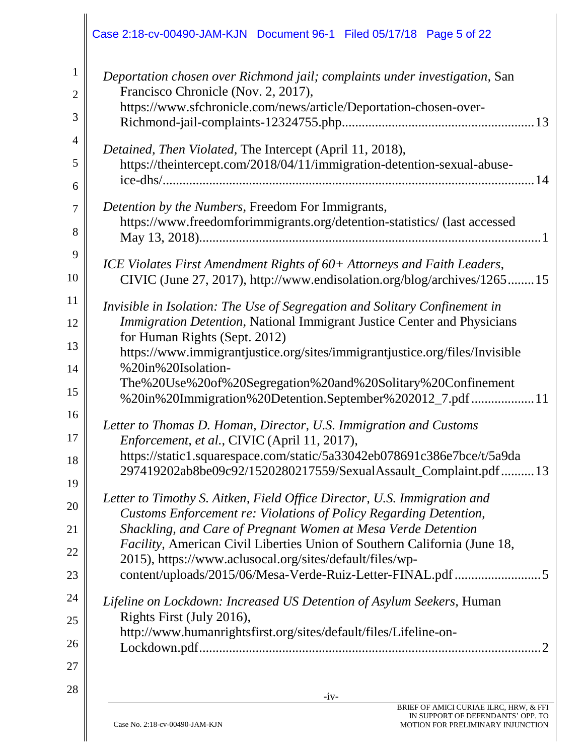|                                     | Case 2:18-cv-00490-JAM-KJN Document 96-1 Filed 05/17/18 Page 5 of 22                                                                                                                                        |
|-------------------------------------|-------------------------------------------------------------------------------------------------------------------------------------------------------------------------------------------------------------|
| $\mathbf{1}$<br>$\overline{2}$<br>3 | Deportation chosen over Richmond jail; complaints under investigation, San<br>Francisco Chronicle (Nov. 2, 2017),<br>https://www.sfchronicle.com/news/article/Deportation-chosen-over-                      |
| $\overline{4}$<br>5<br>6            | Detained, Then Violated, The Intercept (April 11, 2018),<br>https://theintercept.com/2018/04/11/immigration-detention-sexual-abuse-                                                                         |
| $\overline{7}$<br>8                 | Detention by the Numbers, Freedom For Immigrants,<br>https://www.freedomforimmigrants.org/detention-statistics/ (last accessed                                                                              |
| 9<br>10                             | ICE Violates First Amendment Rights of 60+ Attorneys and Faith Leaders,<br>CIVIC (June 27, 2017), http://www.endisolation.org/blog/archives/126515                                                          |
| 11<br>12                            | Invisible in Isolation: The Use of Segregation and Solitary Confinement in<br>Immigration Detention, National Immigrant Justice Center and Physicians                                                       |
| 13<br>14                            | for Human Rights (Sept. 2012)<br>https://www.immigrantjustice.org/sites/immigrantjustice.org/files/Invisible<br>%20in%20Isolation-                                                                          |
| 15<br>16                            | The%20Use%20of%20Segregation%20and%20Solitary%20Confinement<br>%20in%20Immigration%20Detention.September%202012_7.pdf  11                                                                                   |
| 17                                  | Letter to Thomas D. Homan, Director, U.S. Immigration and Customs<br>Enforcement, et al., CIVIC (April 11, 2017),<br>https://static1.squarespace.com/static/5a33042eb078691c386e7bce/t/5a9da                |
| 18<br>19                            | 297419202ab8be09c92/1520280217559/SexualAssault_Complaint.pdf 13<br>Letter to Timothy S. Aitken, Field Office Director, U.S. Immigration and                                                                |
| 20<br>21                            | Customs Enforcement re: Violations of Policy Regarding Detention,<br>Shackling, and Care of Pregnant Women at Mesa Verde Detention                                                                          |
| 22<br>23                            | <i>Facility</i> , American Civil Liberties Union of Southern California (June 18,<br>2015), https://www.aclusocal.org/sites/default/files/wp-<br>content/uploads/2015/06/Mesa-Verde-Ruiz-Letter-FINAL.pdf 5 |
| 24<br>25                            | Lifeline on Lockdown: Increased US Detention of Asylum Seekers, Human<br>Rights First (July 2016),                                                                                                          |
| 26                                  | http://www.humanrightsfirst.org/sites/default/files/Lifeline-on-                                                                                                                                            |
| 27<br>28                            | $-iv-$                                                                                                                                                                                                      |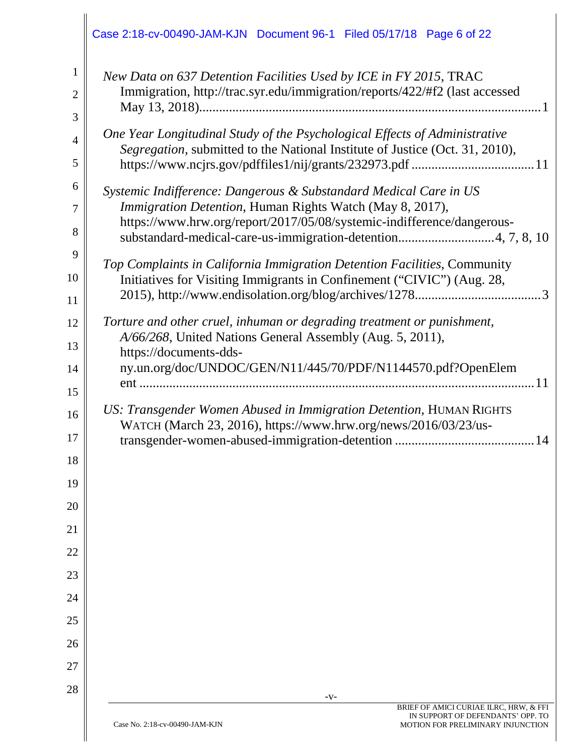|                                                                           | Case 2:18-cv-00490-JAM-KJN Document 96-1 Filed 05/17/18 Page 6 of 22                                                                                                                                                                                                                                                                                                                                                                                                                                                                                                                                                                                                                                                                            |
|---------------------------------------------------------------------------|-------------------------------------------------------------------------------------------------------------------------------------------------------------------------------------------------------------------------------------------------------------------------------------------------------------------------------------------------------------------------------------------------------------------------------------------------------------------------------------------------------------------------------------------------------------------------------------------------------------------------------------------------------------------------------------------------------------------------------------------------|
| 1<br>$\overline{2}$<br>3<br>$\overline{4}$<br>5<br>6<br>7<br>8<br>9<br>10 | New Data on 637 Detention Facilities Used by ICE in FY 2015, TRAC<br>Immigration, http://trac.syr.edu/immigration/reports/422/#f2 (last accessed<br>One Year Longitudinal Study of the Psychological Effects of Administrative<br>Segregation, submitted to the National Institute of Justice (Oct. 31, 2010),<br>Systemic Indifference: Dangerous & Substandard Medical Care in US<br>Immigration Detention, Human Rights Watch (May 8, 2017),<br>https://www.hrw.org/report/2017/05/08/systemic-indifference/dangerous-<br>substandard-medical-care-us-immigration-detention4, 7, 8, 10<br>Top Complaints in California Immigration Detention Facilities, Community<br>Initiatives for Visiting Immigrants in Confinement ("CIVIC") (Aug. 28, |
| 11<br>12<br>13<br>14<br>15<br>16<br>17                                    | Torture and other cruel, inhuman or degrading treatment or punishment,<br>A/66/268, United Nations General Assembly (Aug. 5, 2011),<br>https://documents-dds-<br>ny.un.org/doc/UNDOC/GEN/N11/445/70/PDF/N1144570.pdf?OpenElem<br>US: Transgender Women Abused in Immigration Detention, HUMAN RIGHTS<br>WATCH (March 23, 2016), https://www.hrw.org/news/2016/03/23/us-<br>14                                                                                                                                                                                                                                                                                                                                                                   |
| 18<br>19<br>20<br>21<br>22<br>23<br>24<br>25<br>26                        |                                                                                                                                                                                                                                                                                                                                                                                                                                                                                                                                                                                                                                                                                                                                                 |
| 27<br>28                                                                  | $-V-$                                                                                                                                                                                                                                                                                                                                                                                                                                                                                                                                                                                                                                                                                                                                           |
|                                                                           | BRIEF OF AMICI CURIAE ILRC, HRW, & FFI<br>IN SUPPORT OF DEFENDANTS' OPP. TO<br>Case No. 2:18-cv-00490-JAM-KJN<br>MOTION FOR PRELIMINARY INJUNCTION                                                                                                                                                                                                                                                                                                                                                                                                                                                                                                                                                                                              |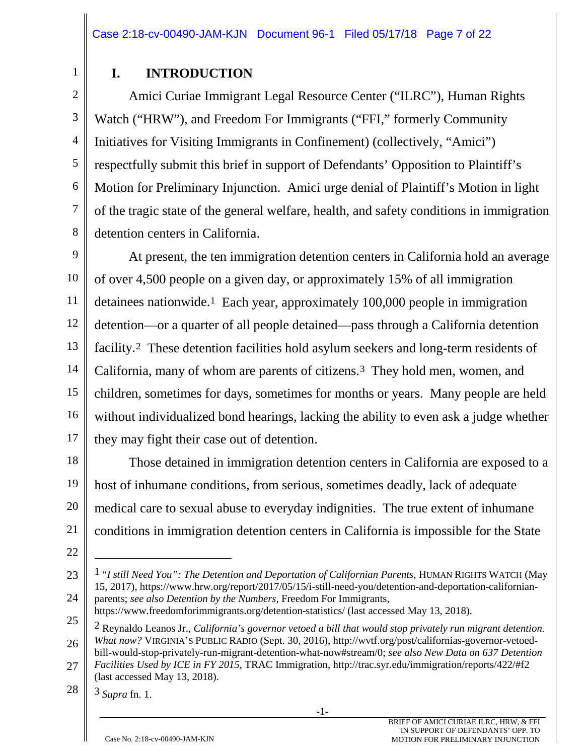# **I. INTRODUCTION**

2 3 4 6 7 8 Amici Curiae Immigrant Legal Resource Center ("ILRC"), Human Rights Watch ("HRW"), and Freedom For Immigrants ("FFI," formerly Community Initiatives for Visiting Immigrants in Confinement) (collectively, "Amici") respectfully submit this brief in support of Defendants' Opposition to Plaintiff's Motion for Preliminary Injunction. Amici urge denial of Plaintiff's Motion in light of the tragic state of the general welfare, health, and safety conditions in immigration detention centers in California.

9 10 11 12 13 14 15 16 17 At present, the ten immigration detention centers in California hold an average of over 4,500 people on a given day, or approximately 15% of all immigration detainees nationwide.1 Each year, approximately 100,000 people in immigration detention—or a quarter of all people detained—pass through a California detention facility.2 These detention facilities hold asylum seekers and long-term residents of California, many of whom are parents of citizens.3 They hold men, women, and children, sometimes for days, sometimes for months or years. Many people are held without individualized bond hearings, lacking the ability to even ask a judge whether they may fight their case out of detention.

18 19 20 21 Those detained in immigration detention centers in California are exposed to a host of inhumane conditions, from serious, sometimes deadly, lack of adequate medical care to sexual abuse to everyday indignities. The true extent of inhumane conditions in immigration detention centers in California is impossible for the State

22

 $\overline{a}$ 

23

24

1

5

https://www.freedomforimmigrants.org/detention-statistics/ (last accessed May 13, 2018).

<sup>1</sup> "*I still Need You": The Detention and Deportation of Californian Parents*, HUMAN RIGHTS WATCH (May 15, 2017), https://www.hrw.org/report/2017/05/15/i-still-need-you/detention-and-deportation-californianparents; *see also Detention by the Numbers*, Freedom For Immigrants,

<sup>25</sup> 26 27 2 Reynaldo Leanos Jr., *California's governor vetoed a bill that would stop privately run migrant detention. What now?* VIRGINIA'S PUBLIC RADIO (Sept. 30, 2016), http://wvtf.org/post/californias-governor-vetoedbill-would-stop-privately-run-migrant-detention-what-now#stream/0; *see also New Data on 637 Detention Facilities Used by ICE in FY 2015*, TRAC Immigration, http://trac.syr.edu/immigration/reports/422/#f2 (last accessed May 13, 2018).

<sup>28</sup>

<sup>3</sup> *Supra* fn. 1.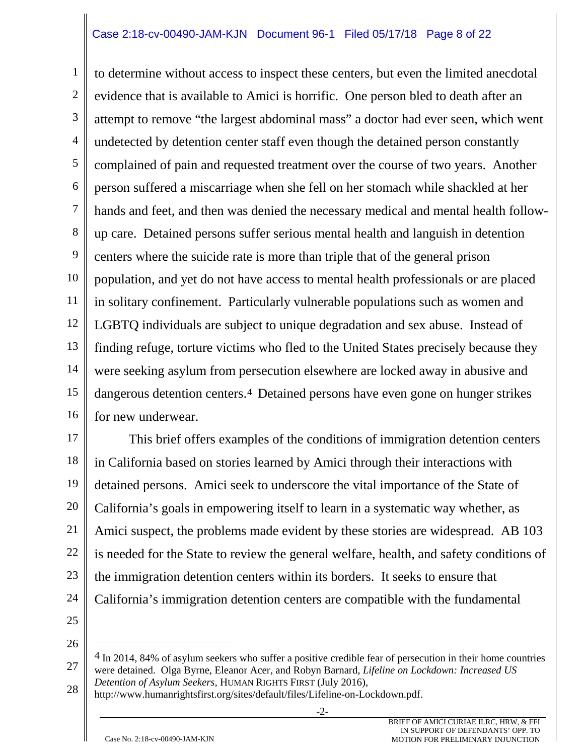#### Case 2:18-cv-00490-JAM-KJN Document 96-1 Filed 05/17/18 Page 8 of 22

1 2 3 4 5 6 7 8 9 10 11 12 13 14 15 16 to determine without access to inspect these centers, but even the limited anecdotal evidence that is available to Amici is horrific. One person bled to death after an attempt to remove "the largest abdominal mass" a doctor had ever seen, which went undetected by detention center staff even though the detained person constantly complained of pain and requested treatment over the course of two years. Another person suffered a miscarriage when she fell on her stomach while shackled at her hands and feet, and then was denied the necessary medical and mental health followup care. Detained persons suffer serious mental health and languish in detention centers where the suicide rate is more than triple that of the general prison population, and yet do not have access to mental health professionals or are placed in solitary confinement. Particularly vulnerable populations such as women and LGBTQ individuals are subject to unique degradation and sex abuse. Instead of finding refuge, torture victims who fled to the United States precisely because they were seeking asylum from persecution elsewhere are locked away in abusive and dangerous detention centers.4 Detained persons have even gone on hunger strikes for new underwear.

17 18 19 20 21 22 23 24 This brief offers examples of the conditions of immigration detention centers in California based on stories learned by Amici through their interactions with detained persons. Amici seek to underscore the vital importance of the State of California's goals in empowering itself to learn in a systematic way whether, as Amici suspect, the problems made evident by these stories are widespread. AB 103 is needed for the State to review the general welfare, health, and safety conditions of the immigration detention centers within its borders. It seeks to ensure that California's immigration detention centers are compatible with the fundamental

- 25
- 26

 $\overline{a}$ 

28 http://www.humanrightsfirst.org/sites/default/files/Lifeline-on-Lockdown.pdf.

-2-

<sup>27</sup> <sup>4</sup> In 2014, 84% of asylum seekers who suffer a positive credible fear of persecution in their home countries were detained. Olga Byrne, Eleanor Acer, and Robyn Barnard, *Lifeline on Lockdown: Increased US Detention of Asylum Seekers,* HUMAN RIGHTS FIRST (July 2016),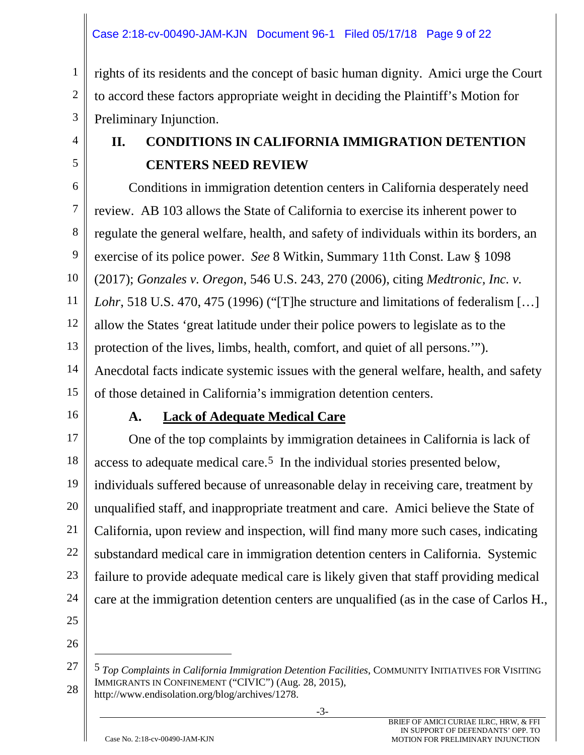#### Case 2:18-cv-00490-JAM-KJN Document 96-1 Filed 05/17/18 Page 9 of 22

2 3 rights of its residents and the concept of basic human dignity. Amici urge the Court to accord these factors appropriate weight in deciding the Plaintiff's Motion for Preliminary Injunction.

4 5

1

# **II. CONDITIONS IN CALIFORNIA IMMIGRATION DETENTION CENTERS NEED REVIEW**

6 7 8 9 10 11 12 13 14 15 Conditions in immigration detention centers in California desperately need review. AB 103 allows the State of California to exercise its inherent power to regulate the general welfare, health, and safety of individuals within its borders, an exercise of its police power. *See* 8 Witkin, Summary 11th Const. Law § 1098 (2017); *Gonzales v. Oregon*, 546 U.S. 243, 270 (2006), citing *Medtronic, Inc. v. Lohr*, 518 U.S. 470, 475 (1996) ("[T]he structure and limitations of federalism […] allow the States 'great latitude under their police powers to legislate as to the protection of the lives, limbs, health, comfort, and quiet of all persons.'"). Anecdotal facts indicate systemic issues with the general welfare, health, and safety of those detained in California's immigration detention centers.

16

#### **A. Lack of Adequate Medical Care**

17 18 19 20 21 22 23 24 One of the top complaints by immigration detainees in California is lack of access to adequate medical care.5 In the individual stories presented below, individuals suffered because of unreasonable delay in receiving care, treatment by unqualified staff, and inappropriate treatment and care. Amici believe the State of California, upon review and inspection, will find many more such cases, indicating substandard medical care in immigration detention centers in California. Systemic failure to provide adequate medical care is likely given that staff providing medical care at the immigration detention centers are unqualified (as in the case of Carlos H.,

25 26

 $\overline{a}$ 

<sup>27</sup> 28 5 *Top Complaints in California Immigration Detention Facilities*, COMMUNITY INITIATIVES FOR VISITING IMMIGRANTS IN CONFINEMENT ("CIVIC") (Aug. 28, 2015), http://www.endisolation.org/blog/archives/1278.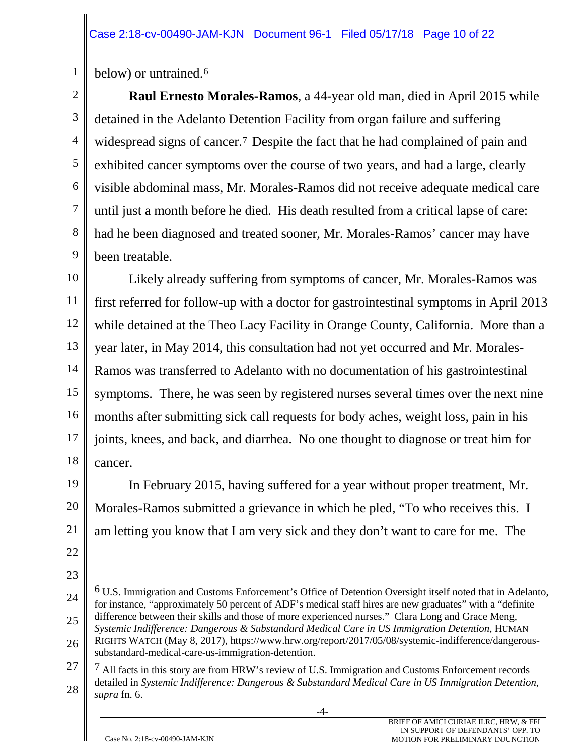1 below) or untrained.6

2 3 4 5 6 7 8 9 **Raul Ernesto Morales-Ramos**, a 44-year old man, died in April 2015 while detained in the Adelanto Detention Facility from organ failure and suffering widespread signs of cancer.7 Despite the fact that he had complained of pain and exhibited cancer symptoms over the course of two years, and had a large, clearly visible abdominal mass, Mr. Morales-Ramos did not receive adequate medical care until just a month before he died. His death resulted from a critical lapse of care: had he been diagnosed and treated sooner, Mr. Morales-Ramos' cancer may have been treatable.

10 11 12 13 14 15 16 17 18 Likely already suffering from symptoms of cancer, Mr. Morales-Ramos was first referred for follow-up with a doctor for gastrointestinal symptoms in April 2013 while detained at the Theo Lacy Facility in Orange County, California. More than a year later, in May 2014, this consultation had not yet occurred and Mr. Morales-Ramos was transferred to Adelanto with no documentation of his gastrointestinal symptoms. There, he was seen by registered nurses several times over the next nine months after submitting sick call requests for body aches, weight loss, pain in his joints, knees, and back, and diarrhea. No one thought to diagnose or treat him for cancer.

19 20 21 In February 2015, having suffered for a year without proper treatment, Mr. Morales-Ramos submitted a grievance in which he pled, "To who receives this. I am letting you know that I am very sick and they don't want to care for me. The

22 23

 $\overline{a}$ 

<sup>24</sup> 25 6 U.S. Immigration and Customs Enforcement's Office of Detention Oversight itself noted that in Adelanto, for instance, "approximately 50 percent of ADF's medical staff hires are new graduates" with a "definite difference between their skills and those of more experienced nurses." Clara Long and Grace Meng, *Systemic Indifference: Dangerous & Substandard Medical Care in US Immigration Detention*, HUMAN

<sup>26</sup> RIGHTS WATCH (May 8, 2017), https://www.hrw.org/report/2017/05/08/systemic-indifference/dangeroussubstandard-medical-care-us-immigration-detention.

<sup>27</sup> 28 7 All facts in this story are from HRW's review of U.S. Immigration and Customs Enforcement records detailed in *Systemic Indifference: Dangerous & Substandard Medical Care in US Immigration Detention, supra* fn. 6.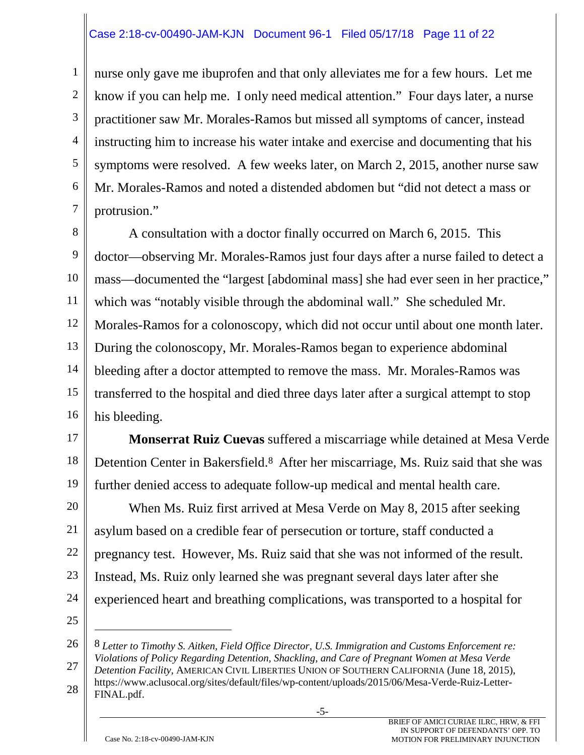#### Case 2:18-cv-00490-JAM-KJN Document 96-1 Filed 05/17/18 Page 11 of 22

1 2 3 4 5 6 7 nurse only gave me ibuprofen and that only alleviates me for a few hours. Let me know if you can help me. I only need medical attention." Four days later, a nurse practitioner saw Mr. Morales-Ramos but missed all symptoms of cancer, instead instructing him to increase his water intake and exercise and documenting that his symptoms were resolved. A few weeks later, on March 2, 2015, another nurse saw Mr. Morales-Ramos and noted a distended abdomen but "did not detect a mass or protrusion."

8 9 10 11 12 13 14 15 16 A consultation with a doctor finally occurred on March 6, 2015. This doctor—observing Mr. Morales-Ramos just four days after a nurse failed to detect a mass—documented the "largest [abdominal mass] she had ever seen in her practice," which was "notably visible through the abdominal wall." She scheduled Mr. Morales-Ramos for a colonoscopy, which did not occur until about one month later. During the colonoscopy, Mr. Morales-Ramos began to experience abdominal bleeding after a doctor attempted to remove the mass. Mr. Morales-Ramos was transferred to the hospital and died three days later after a surgical attempt to stop his bleeding.

17 18 19 **Monserrat Ruiz Cuevas** suffered a miscarriage while detained at Mesa Verde Detention Center in Bakersfield.8 After her miscarriage, Ms. Ruiz said that she was further denied access to adequate follow-up medical and mental health care.

20 21 22 23 24 When Ms. Ruiz first arrived at Mesa Verde on May 8, 2015 after seeking asylum based on a credible fear of persecution or torture, staff conducted a pregnancy test. However, Ms. Ruiz said that she was not informed of the result. Instead, Ms. Ruiz only learned she was pregnant several days later after she experienced heart and breathing complications, was transported to a hospital for

25

 $\overline{a}$ 

28 FINAL.pdf.

<sup>26</sup> 27 8 *Letter to Timothy S. Aitken, Field Office Director, U.S. Immigration and Customs Enforcement re: Violations of Policy Regarding Detention, Shackling, and Care of Pregnant Women at Mesa Verde Detention Facility,* AMERICAN CIVIL LIBERTIES UNION OF SOUTHERN CALIFORNIA (June 18, 2015), https://www.aclusocal.org/sites/default/files/wp-content/uploads/2015/06/Mesa-Verde-Ruiz-Letter-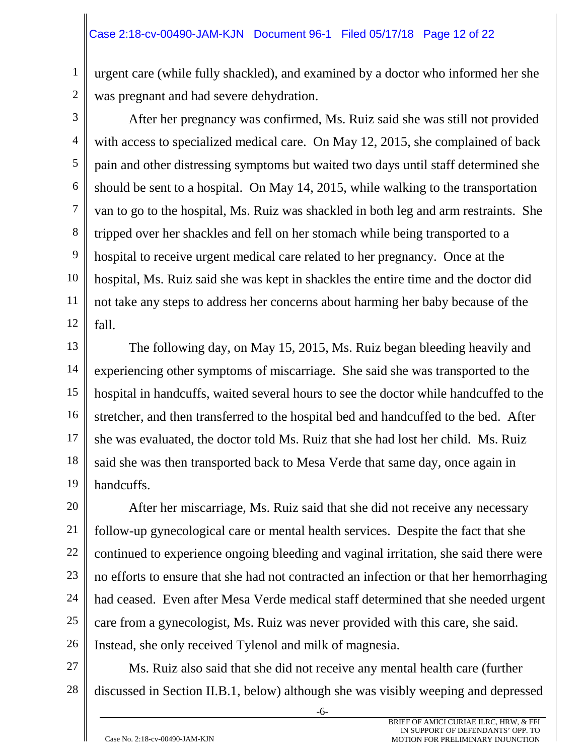urgent care (while fully shackled), and examined by a doctor who informed her she was pregnant and had severe dehydration.

2 3

1

4 5 6 7 8 9 10 11 12 After her pregnancy was confirmed, Ms. Ruiz said she was still not provided with access to specialized medical care. On May 12, 2015, she complained of back pain and other distressing symptoms but waited two days until staff determined she should be sent to a hospital. On May 14, 2015, while walking to the transportation van to go to the hospital, Ms. Ruiz was shackled in both leg and arm restraints. She tripped over her shackles and fell on her stomach while being transported to a hospital to receive urgent medical care related to her pregnancy. Once at the hospital, Ms. Ruiz said she was kept in shackles the entire time and the doctor did not take any steps to address her concerns about harming her baby because of the fall.

13 14 15 16 17 18 19 The following day, on May 15, 2015, Ms. Ruiz began bleeding heavily and experiencing other symptoms of miscarriage. She said she was transported to the hospital in handcuffs, waited several hours to see the doctor while handcuffed to the stretcher, and then transferred to the hospital bed and handcuffed to the bed. After she was evaluated, the doctor told Ms. Ruiz that she had lost her child. Ms. Ruiz said she was then transported back to Mesa Verde that same day, once again in handcuffs.

20 21 22 23 24 25 26 After her miscarriage, Ms. Ruiz said that she did not receive any necessary follow-up gynecological care or mental health services. Despite the fact that she continued to experience ongoing bleeding and vaginal irritation, she said there were no efforts to ensure that she had not contracted an infection or that her hemorrhaging had ceased. Even after Mesa Verde medical staff determined that she needed urgent care from a gynecologist, Ms. Ruiz was never provided with this care, she said. Instead, she only received Tylenol and milk of magnesia.

27 Ms. Ruiz also said that she did not receive any mental health care (further discussed in Section II.B.1, below) although she was visibly weeping and depressed

-6-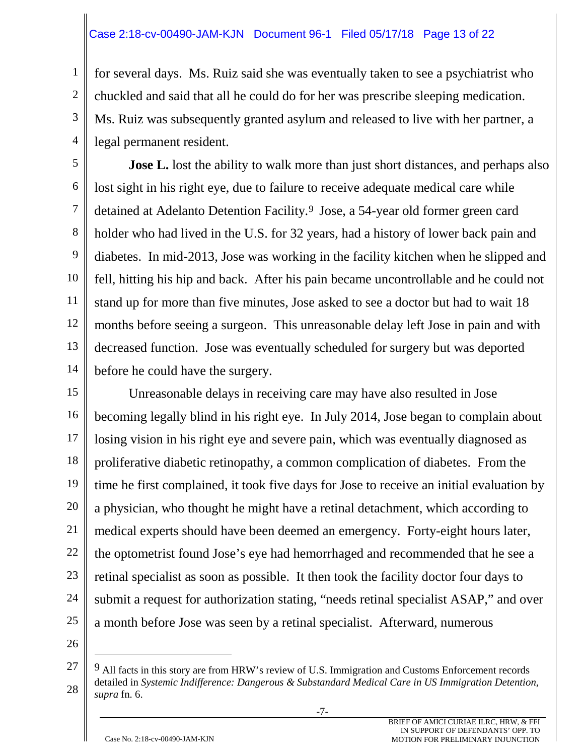#### Case 2:18-cv-00490-JAM-KJN Document 96-1 Filed 05/17/18 Page 13 of 22

for several days. Ms. Ruiz said she was eventually taken to see a psychiatrist who chuckled and said that all he could do for her was prescribe sleeping medication. Ms. Ruiz was subsequently granted asylum and released to live with her partner, a legal permanent resident.

5 6 7 8 9 10 11 12 13 14 **Jose L.** lost the ability to walk more than just short distances, and perhaps also lost sight in his right eye, due to failure to receive adequate medical care while detained at Adelanto Detention Facility.9 Jose, a 54-year old former green card holder who had lived in the U.S. for 32 years, had a history of lower back pain and diabetes. In mid-2013, Jose was working in the facility kitchen when he slipped and fell, hitting his hip and back. After his pain became uncontrollable and he could not stand up for more than five minutes, Jose asked to see a doctor but had to wait 18 months before seeing a surgeon. This unreasonable delay left Jose in pain and with decreased function. Jose was eventually scheduled for surgery but was deported before he could have the surgery.

15 16 17 18 19 20 21 22 23 24 25 Unreasonable delays in receiving care may have also resulted in Jose becoming legally blind in his right eye. In July 2014, Jose began to complain about losing vision in his right eye and severe pain, which was eventually diagnosed as proliferative diabetic retinopathy, a common complication of diabetes. From the time he first complained, it took five days for Jose to receive an initial evaluation by a physician, who thought he might have a retinal detachment, which according to medical experts should have been deemed an emergency. Forty-eight hours later, the optometrist found Jose's eye had hemorrhaged and recommended that he see a retinal specialist as soon as possible. It then took the facility doctor four days to submit a request for authorization stating, "needs retinal specialist ASAP," and over a month before Jose was seen by a retinal specialist. Afterward, numerous

26

 $\overline{a}$ 

1

2

3

<sup>27</sup> 28 9 All facts in this story are from HRW's review of U.S. Immigration and Customs Enforcement records detailed in *Systemic Indifference: Dangerous & Substandard Medical Care in US Immigration Detention*, *supra* fn. 6.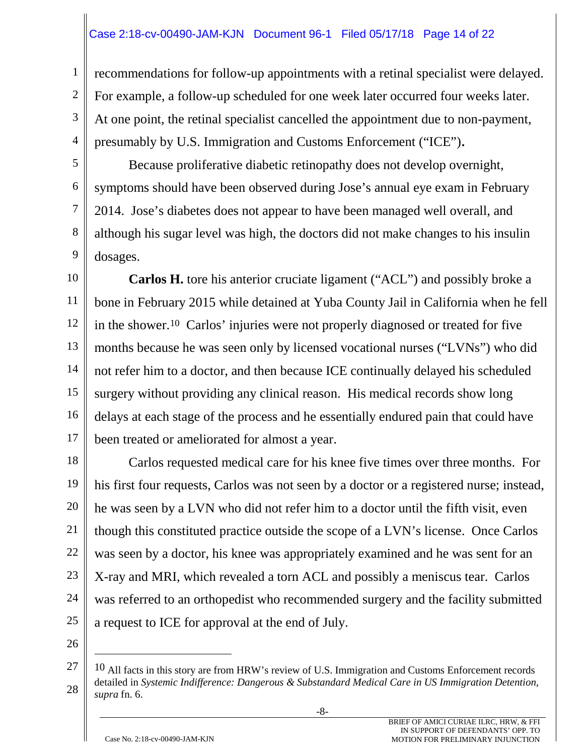#### Case 2:18-cv-00490-JAM-KJN Document 96-1 Filed 05/17/18 Page 14 of 22

recommendations for follow-up appointments with a retinal specialist were delayed. For example, a follow-up scheduled for one week later occurred four weeks later. At one point, the retinal specialist cancelled the appointment due to non-payment, presumably by U.S. Immigration and Customs Enforcement ("ICE").

Because proliferative diabetic retinopathy does not develop overnight, symptoms should have been observed during Jose's annual eye exam in February 2014. Jose's diabetes does not appear to have been managed well overall, and although his sugar level was high, the doctors did not make changes to his insulin dosages.

10 11 12 13 14 15 16 17 **Carlos H.** tore his anterior cruciate ligament ("ACL") and possibly broke a bone in February 2015 while detained at Yuba County Jail in California when he fell in the shower.10 Carlos' injuries were not properly diagnosed or treated for five months because he was seen only by licensed vocational nurses ("LVNs") who did not refer him to a doctor, and then because ICE continually delayed his scheduled surgery without providing any clinical reason. His medical records show long delays at each stage of the process and he essentially endured pain that could have been treated or ameliorated for almost a year.

18 19 20 21 22 23 24 25 Carlos requested medical care for his knee five times over three months. For his first four requests, Carlos was not seen by a doctor or a registered nurse; instead, he was seen by a LVN who did not refer him to a doctor until the fifth visit, even though this constituted practice outside the scope of a LVN's license. Once Carlos was seen by a doctor, his knee was appropriately examined and he was sent for an X-ray and MRI, which revealed a torn ACL and possibly a meniscus tear. Carlos was referred to an orthopedist who recommended surgery and the facility submitted a request to ICE for approval at the end of July.

26

 $\overline{a}$ 

1

2

3

4

5

6

7

8

<sup>27</sup> 28 <sup>10</sup> All facts in this story are from HRW's review of U.S. Immigration and Customs Enforcement records detailed in *Systemic Indifference: Dangerous & Substandard Medical Care in US Immigration Detention*, *supra* fn. 6.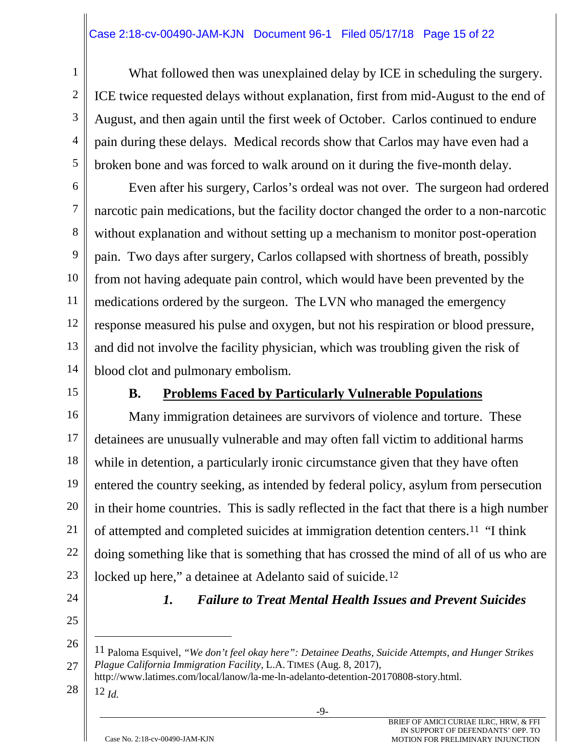#### Case 2:18-cv-00490-JAM-KJN Document 96-1 Filed 05/17/18 Page 15 of 22

What followed then was unexplained delay by ICE in scheduling the surgery. ICE twice requested delays without explanation, first from mid-August to the end of August, and then again until the first week of October. Carlos continued to endure pain during these delays. Medical records show that Carlos may have even had a broken bone and was forced to walk around on it during the five-month delay.

6 7 8 9 10 11 12 13 14 Even after his surgery, Carlos's ordeal was not over. The surgeon had ordered narcotic pain medications, but the facility doctor changed the order to a non-narcotic without explanation and without setting up a mechanism to monitor post-operation pain. Two days after surgery, Carlos collapsed with shortness of breath, possibly from not having adequate pain control, which would have been prevented by the medications ordered by the surgeon. The LVN who managed the emergency response measured his pulse and oxygen, but not his respiration or blood pressure, and did not involve the facility physician, which was troubling given the risk of blood clot and pulmonary embolism.

15

1

2

3

4

5

### **B. Problems Faced by Particularly Vulnerable Populations**

16 17 18 19 20 21 22 23 Many immigration detainees are survivors of violence and torture. These detainees are unusually vulnerable and may often fall victim to additional harms while in detention, a particularly ironic circumstance given that they have often entered the country seeking, as intended by federal policy, asylum from persecution in their home countries. This is sadly reflected in the fact that there is a high number of attempted and completed suicides at immigration detention centers.11 "I think doing something like that is something that has crossed the mind of all of us who are locked up here," a detainee at Adelanto said of suicide.<sup>12</sup>

- 24
- 25

# *1. Failure to Treat Mental Health Issues and Prevent Suicides*

28 12 *Id.*

 $\overline{a}$ 

<sup>26</sup> 27 11 Paloma Esquivel, *"We don't feel okay here": Detainee Deaths, Suicide Attempts, and Hunger Strikes Plague California Immigration Facility,* L.A. TIMES (Aug. 8, 2017),

http://www.latimes.com/local/lanow/la-me-ln-adelanto-detention-20170808-story.html.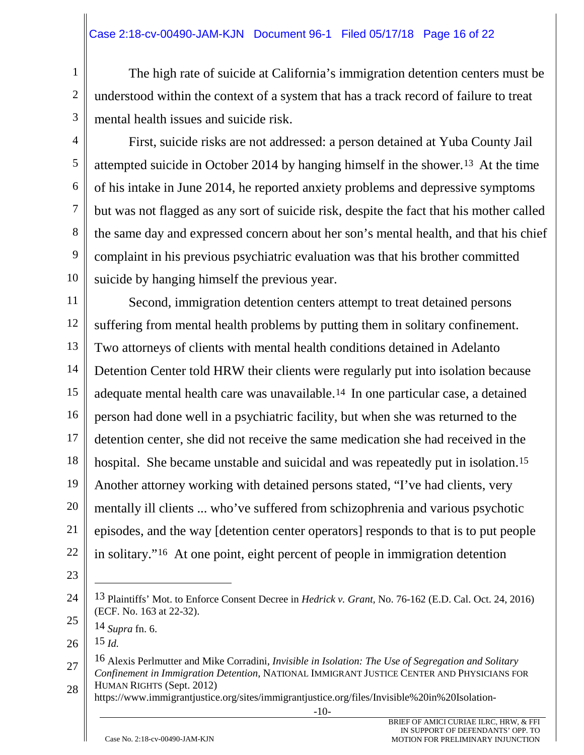The high rate of suicide at California's immigration detention centers must be understood within the context of a system that has a track record of failure to treat mental health issues and suicide risk.

4 5

6

7

8

9

10

1

2

3

First, suicide risks are not addressed: a person detained at Yuba County Jail attempted suicide in October 2014 by hanging himself in the shower.13 At the time of his intake in June 2014, he reported anxiety problems and depressive symptoms but was not flagged as any sort of suicide risk, despite the fact that his mother called the same day and expressed concern about her son's mental health, and that his chief complaint in his previous psychiatric evaluation was that his brother committed suicide by hanging himself the previous year.

11 12 13 14 15 16 17 18 19 20 21 22 Second, immigration detention centers attempt to treat detained persons suffering from mental health problems by putting them in solitary confinement. Two attorneys of clients with mental health conditions detained in Adelanto Detention Center told HRW their clients were regularly put into isolation because adequate mental health care was unavailable.14 In one particular case, a detained person had done well in a psychiatric facility, but when she was returned to the detention center, she did not receive the same medication she had received in the hospital. She became unstable and suicidal and was repeatedly put in isolation.<sup>15</sup> Another attorney working with detained persons stated, "I've had clients, very mentally ill clients ... who've suffered from schizophrenia and various psychotic episodes, and the way [detention center operators] responds to that is to put people in solitary."16 At one point, eight percent of people in immigration detention

23

26 15 *Id.*

 $\overline{a}$ 

https://www.immigrantjustice.org/sites/immigrantjustice.org/files/Invisible%20in%20Isolation-

-10-

<sup>24</sup> 13 Plaintiffs' Mot. to Enforce Consent Decree in *Hedrick v. Grant,* No. 76-162 (E.D. Cal. Oct. 24, 2016) (ECF. No. 163 at 22-32).

<sup>25</sup> 14 *Supra* fn. 6.

<sup>27</sup> 28 16 Alexis Perlmutter and Mike Corradini, *Invisible in Isolation: The Use of Segregation and Solitary Confinement in Immigration Detention*, NATIONAL IMMIGRANT JUSTICE CENTER AND PHYSICIANS FOR HUMAN RIGHTS (Sept. 2012)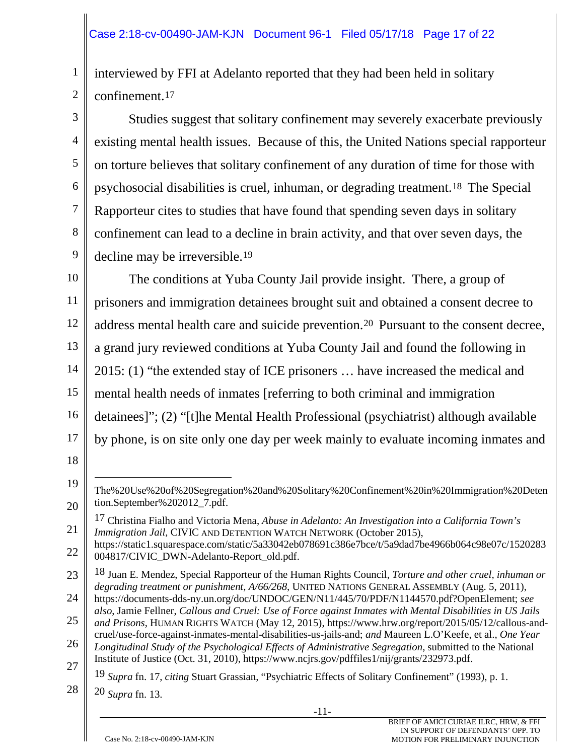1 2 interviewed by FFI at Adelanto reported that they had been held in solitary confinement.17

3 4 5 6 7 8 9 Studies suggest that solitary confinement may severely exacerbate previously existing mental health issues. Because of this, the United Nations special rapporteur on torture believes that solitary confinement of any duration of time for those with psychosocial disabilities is cruel, inhuman, or degrading treatment.18 The Special Rapporteur cites to studies that have found that spending seven days in solitary confinement can lead to a decline in brain activity, and that over seven days, the decline may be irreversible.<sup>19</sup>

10 11 12 13 14 15 16 17 The conditions at Yuba County Jail provide insight. There, a group of prisoners and immigration detainees brought suit and obtained a consent decree to address mental health care and suicide prevention.20 Pursuant to the consent decree, a grand jury reviewed conditions at Yuba County Jail and found the following in 2015: (1) "the extended stay of ICE prisoners … have increased the medical and mental health needs of inmates [referring to both criminal and immigration detainees]"; (2) "[t]he Mental Health Professional (psychiatrist) although available by phone, is on site only one day per week mainly to evaluate incoming inmates and

18

 $\overline{a}$ 

<sup>19</sup> 20 The%20Use%20of%20Segregation%20and%20Solitary%20Confinement%20in%20Immigration%20Deten tion.September%202012\_7.pdf.

<sup>21</sup> 17 Christina Fialho and Victoria Mena, *Abuse in Adelanto: An Investigation into a California Town's Immigration Jail*, CIVIC AND DETENTION WATCH NETWORK (October 2015),

<sup>22</sup> https://static1.squarespace.com/static/5a33042eb078691c386e7bce/t/5a9dad7be4966b064c98e07c/1520283 004817/CIVIC\_DWN-Adelanto-Report\_old.pdf.

<sup>23</sup> 18 Juan E. Mendez, Special Rapporteur of the Human Rights Council, *Torture and other cruel, inhuman or degrading treatment or punishment, A/66/268*, UNITED NATIONS GENERAL ASSEMBLY (Aug. 5, 2011),

<sup>24</sup> https://documents-dds-ny.un.org/doc/UNDOC/GEN/N11/445/70/PDF/N1144570.pdf?OpenElement; *see also*, Jamie Fellner, *Callous and Cruel: Use of Force against Inmates with Mental Disabilities in US Jails* 

<sup>25</sup> 26 27 *and Prisons*, HUMAN RIGHTS WATCH (May 12, 2015), https://www.hrw.org/report/2015/05/12/callous-andcruel/use-force-against-inmates-mental-disabilities-us-jails-and; *and* Maureen L.O'Keefe, et al., *One Year Longitudinal Study of the Psychological Effects of Administrative Segregation,* submitted to the National Institute of Justice (Oct. 31, 2010), https://www.ncjrs.gov/pdffiles1/nij/grants/232973.pdf.

<sup>19</sup> *Supra* fn. 17, *citing* Stuart Grassian, "Psychiatric Effects of Solitary Confinement" (1993), p. 1.

<sup>28</sup> 20 *Supra* fn. 13.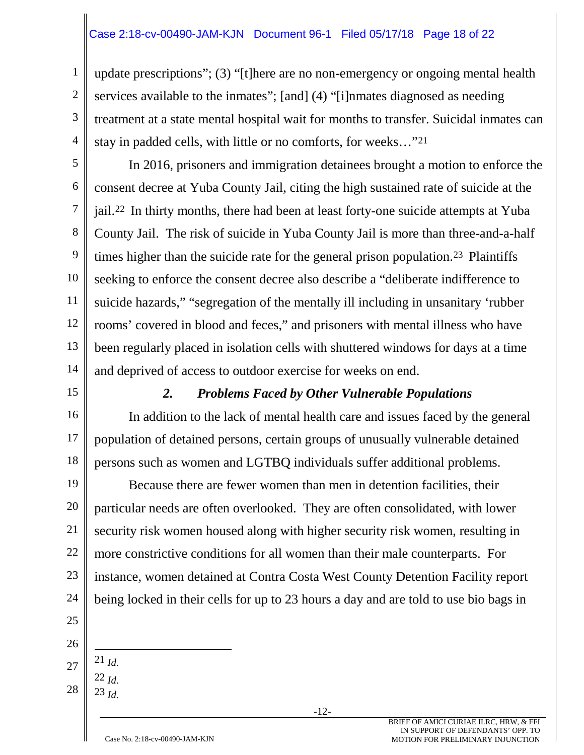#### Case 2:18-cv-00490-JAM-KJN Document 96-1 Filed 05/17/18 Page 18 of 22

update prescriptions"; (3) "[t]here are no non-emergency or ongoing mental health services available to the inmates"; [and] (4) "[i]nmates diagnosed as needing treatment at a state mental hospital wait for months to transfer. Suicidal inmates can stay in padded cells, with little or no comforts, for weeks…"21

5 6 8 9 10 12 13 14 In 2016, prisoners and immigration detainees brought a motion to enforce the consent decree at Yuba County Jail, citing the high sustained rate of suicide at the jail.22 In thirty months, there had been at least forty-one suicide attempts at Yuba County Jail. The risk of suicide in Yuba County Jail is more than three-and-a-half times higher than the suicide rate for the general prison population.<sup>23</sup> Plaintiffs seeking to enforce the consent decree also describe a "deliberate indifference to suicide hazards," "segregation of the mentally ill including in unsanitary 'rubber rooms' covered in blood and feces," and prisoners with mental illness who have been regularly placed in isolation cells with shuttered windows for days at a time and deprived of access to outdoor exercise for weeks on end.

#### *2. Problems Faced by Other Vulnerable Populations*

16 17 18 In addition to the lack of mental health care and issues faced by the general population of detained persons, certain groups of unusually vulnerable detained persons such as women and LGTBQ individuals suffer additional problems.

19 20 21 22 23 24 Because there are fewer women than men in detention facilities, their particular needs are often overlooked. They are often consolidated, with lower security risk women housed along with higher security risk women, resulting in more constrictive conditions for all women than their male counterparts. For instance, women detained at Contra Costa West County Detention Facility report being locked in their cells for up to 23 hours a day and are told to use bio bags in

25 26

1

2

3

4

7

11

15

27 21 *Id.*

28 22 *Id.* 23 *Id.*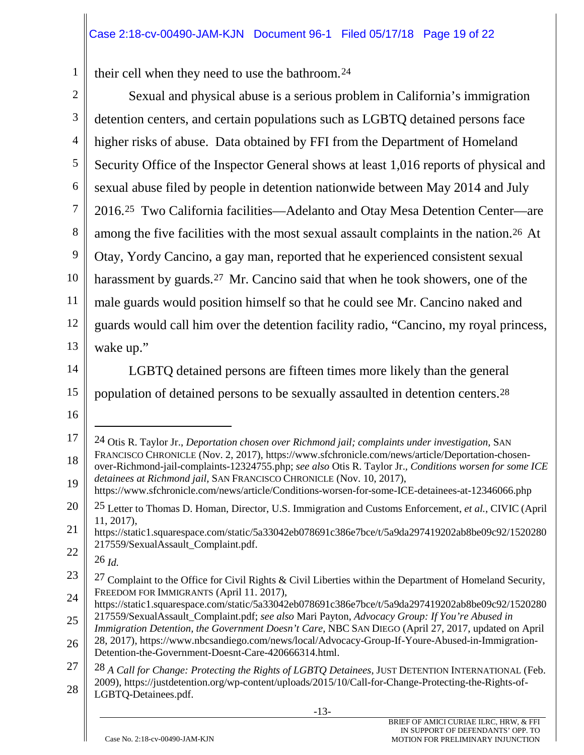1 their cell when they need to use the bathroom.24

| $\overline{2}$ | Sexual and physical abuse is a serious problem in California's immigration                                                                                                                                                                                                          |
|----------------|-------------------------------------------------------------------------------------------------------------------------------------------------------------------------------------------------------------------------------------------------------------------------------------|
| $\mathfrak{Z}$ | detention centers, and certain populations such as LGBTQ detained persons face                                                                                                                                                                                                      |
| 4              | higher risks of abuse. Data obtained by FFI from the Department of Homeland                                                                                                                                                                                                         |
| 5              | Security Office of the Inspector General shows at least 1,016 reports of physical and                                                                                                                                                                                               |
| 6              | sexual abuse filed by people in detention nationwide between May 2014 and July                                                                                                                                                                                                      |
| 7              | 2016. <sup>25</sup> Two California facilities—Adelanto and Otay Mesa Detention Center—are                                                                                                                                                                                           |
| $8\,$          | among the five facilities with the most sexual assault complaints in the nation. <sup>26</sup> At                                                                                                                                                                                   |
| 9              | Otay, Yordy Cancino, a gay man, reported that he experienced consistent sexual                                                                                                                                                                                                      |
| 10             | harassment by guards. <sup>27</sup> Mr. Cancino said that when he took showers, one of the                                                                                                                                                                                          |
| 11             | male guards would position himself so that he could see Mr. Cancino naked and                                                                                                                                                                                                       |
| 12             | guards would call him over the detention facility radio, "Cancino, my royal princess,                                                                                                                                                                                               |
| 13             | wake up."                                                                                                                                                                                                                                                                           |
| 14             | LGBTQ detained persons are fifteen times more likely than the general                                                                                                                                                                                                               |
| 15             | population of detained persons to be sexually assaulted in detention centers. <sup>28</sup>                                                                                                                                                                                         |
|                |                                                                                                                                                                                                                                                                                     |
| 16             |                                                                                                                                                                                                                                                                                     |
| 17             | <sup>24</sup> Otis R. Taylor Jr., Deportation chosen over Richmond jail; complaints under investigation, SAN                                                                                                                                                                        |
| 18<br>19       | FRANCISCO CHRONICLE (Nov. 2, 2017), https://www.sfchronicle.com/news/article/Deportation-chosen-<br>over-Richmond-jail-complaints-12324755.php; see also Otis R. Taylor Jr., Conditions worsen for some ICE<br>detainees at Richmond jail, SAN FRANCISCO CHRONICLE (Nov. 10, 2017), |
| 20             | https://www.sfchronicle.com/news/article/Conditions-worsen-for-some-ICE-detainees-at-12346066.php                                                                                                                                                                                   |
| 21             | <sup>25</sup> Letter to Thomas D. Homan, Director, U.S. Immigration and Customs Enforcement, et al., CIVIC (April<br>$11, 2017$ ,<br>https://static1.squarespace.com/static/5a33042eb078691c386e7bce/t/5a9da297419202ab8be09c92/1520280                                             |
| 22             | 217559/SexualAssault_Complaint.pdf.                                                                                                                                                                                                                                                 |
| 23             | $26$ Id.                                                                                                                                                                                                                                                                            |
| 24             | <sup>27</sup> Complaint to the Office for Civil Rights & Civil Liberties within the Department of Homeland Security,<br>FREEDOM FOR IMMIGRANTS (April 11. 2017),<br>https://static1.squarespace.com/static/5a33042eb078691c386e7bce/t/5a9da297419202ab8be09c92/1520280              |
| 25             | 217559/SexualAssault_Complaint.pdf; see also Mari Payton, Advocacy Group: If You're Abused in                                                                                                                                                                                       |
| 26             | Immigration Detention, the Government Doesn't Care, NBC SAN DIEGO (April 27, 2017, updated on April<br>28, 2017), https://www.nbcsandiego.com/news/local/Advocacy-Group-If-Youre-Abused-in-Immigration-<br>Detention-the-Government-Doesnt-Care-420666314.html.                     |
| 27             | $28$ A Call for Change: Protecting the Rights of LGBTQ Detainees, JUST DETENTION INTERNATIONAL (Feb.                                                                                                                                                                                |
| 28             | 2009), https://justdetention.org/wp-content/uploads/2015/10/Call-for-Change-Protecting-the-Rights-of-<br>LGBTQ-Detainees.pdf.                                                                                                                                                       |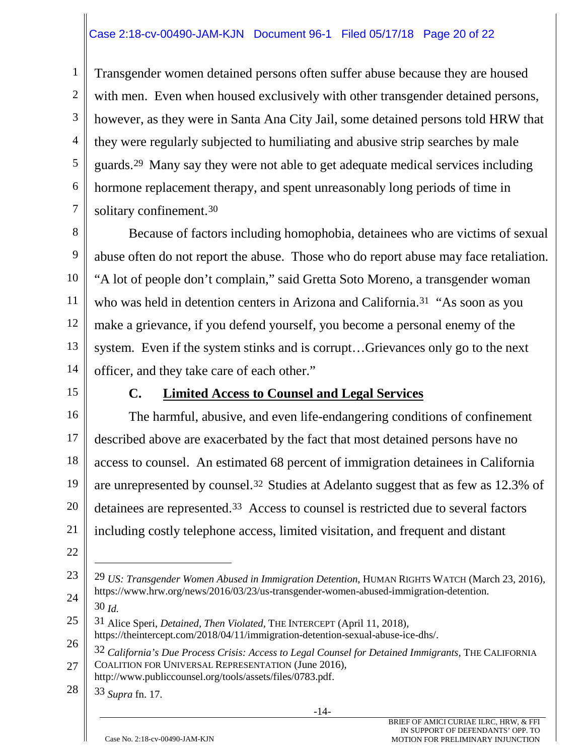#### Case 2:18-cv-00490-JAM-KJN Document 96-1 Filed 05/17/18 Page 20 of 22

1 2 3 4 5 6 7 Transgender women detained persons often suffer abuse because they are housed with men. Even when housed exclusively with other transgender detained persons, however, as they were in Santa Ana City Jail, some detained persons told HRW that they were regularly subjected to humiliating and abusive strip searches by male guards.29 Many say they were not able to get adequate medical services including hormone replacement therapy, and spent unreasonably long periods of time in solitary confinement.30

8 9 10 11 12 13 14 Because of factors including homophobia, detainees who are victims of sexual abuse often do not report the abuse. Those who do report abuse may face retaliation. "A lot of people don't complain," said Gretta Soto Moreno, a transgender woman who was held in detention centers in Arizona and California.<sup>31</sup> "As soon as you make a grievance, if you defend yourself, you become a personal enemy of the system. Even if the system stinks and is corrupt…Grievances only go to the next officer, and they take care of each other."

15

#### **C. Limited Access to Counsel and Legal Services**

16 17 18 19 20 21 The harmful, abusive, and even life-endangering conditions of confinement described above are exacerbated by the fact that most detained persons have no access to counsel. An estimated 68 percent of immigration detainees in California are unrepresented by counsel.32 Studies at Adelanto suggest that as few as 12.3% of detainees are represented.33 Access to counsel is restricted due to several factors including costly telephone access, limited visitation, and frequent and distant

22

 $\overline{a}$ 

30 *Id.*

28 33 *Supra* fn. 17.

<sup>23</sup> 24 29 *US: Transgender Women Abused in Immigration Detention,* HUMAN RIGHTS WATCH (March 23, 2016), https://www.hrw.org/news/2016/03/23/us-transgender-women-abused-immigration-detention.

<sup>25</sup> 31 Alice Speri, *Detained, Then Violated,* THE INTERCEPT (April 11, 2018),

<sup>26</sup> https://theintercept.com/2018/04/11/immigration-detention-sexual-abuse-ice-dhs/.

<sup>27</sup> 32 *California's Due Process Crisis: Access to Legal Counsel for Detained Immigrants,* THE CALIFORNIA COALITION FOR UNIVERSAL REPRESENTATION (June 2016),

http://www.publiccounsel.org/tools/assets/files/0783.pdf.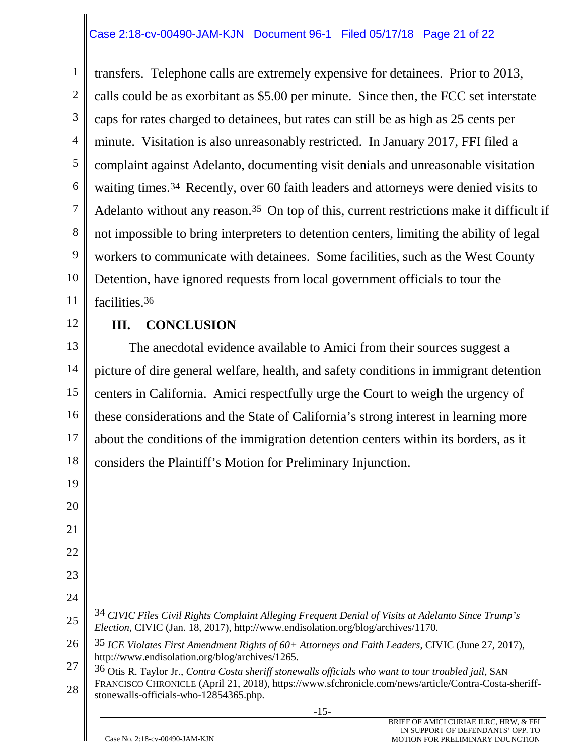#### Case 2:18-cv-00490-JAM-KJN Document 96-1 Filed 05/17/18 Page 21 of 22

1 2 3 4 5 6 7 8 9 10 11 transfers. Telephone calls are extremely expensive for detainees. Prior to 2013, calls could be as exorbitant as \$5.00 per minute. Since then, the FCC set interstate caps for rates charged to detainees, but rates can still be as high as 25 cents per minute. Visitation is also unreasonably restricted. In January 2017, FFI filed a complaint against Adelanto, documenting visit denials and unreasonable visitation waiting times.34 Recently, over 60 faith leaders and attorneys were denied visits to Adelanto without any reason.35 On top of this, current restrictions make it difficult if not impossible to bring interpreters to detention centers, limiting the ability of legal workers to communicate with detainees. Some facilities, such as the West County Detention, have ignored requests from local government officials to tour the facilities.36

12

19

20

21

22

23

24

 $\overline{a}$ 

# **III. CONCLUSION**

13 14 15 16 17 18 The anecdotal evidence available to Amici from their sources suggest a picture of dire general welfare, health, and safety conditions in immigrant detention centers in California. Amici respectfully urge the Court to weigh the urgency of these considerations and the State of California's strong interest in learning more about the conditions of the immigration detention centers within its borders, as it considers the Plaintiff's Motion for Preliminary Injunction.

<sup>25</sup> 34 *CIVIC Files Civil Rights Complaint Alleging Frequent Denial of Visits at Adelanto Since Trump's Election*, CIVIC (Jan. 18, 2017), http://www.endisolation.org/blog/archives/1170.

<sup>26</sup> 35 *ICE Violates First Amendment Rights of 60+ Attorneys and Faith Leaders*, CIVIC (June 27, 2017), http://www.endisolation.org/blog/archives/1265.

<sup>27</sup> 28 36 Otis R. Taylor Jr., *Contra Costa sheriff stonewalls officials who want to tour troubled jail,* SAN FRANCISCO CHRONICLE (April 21, 2018), https://www.sfchronicle.com/news/article/Contra-Costa-sheriffstonewalls-officials-who-12854365.php.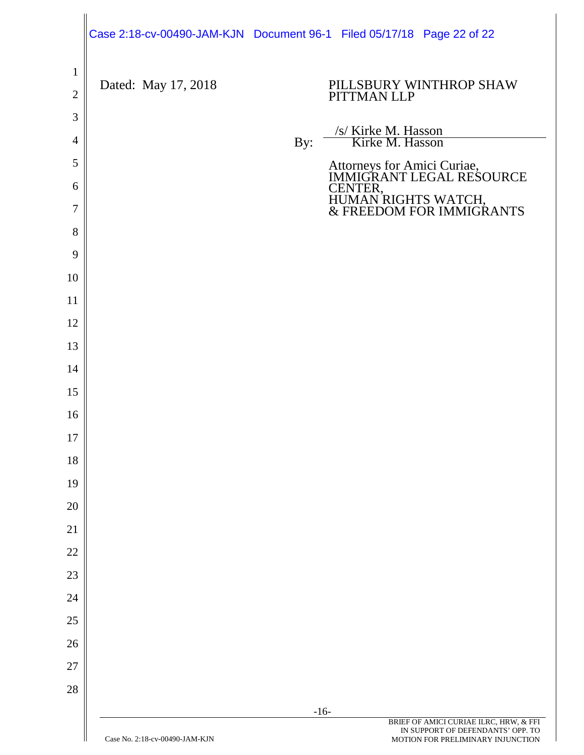|                                |                     | Case 2:18-cv-00490-JAM-KJN Document 96-1 Filed 05/17/18 Page 22 of 22       |
|--------------------------------|---------------------|-----------------------------------------------------------------------------|
| $\mathbf{1}$<br>$\overline{2}$ | Dated: May 17, 2018 | PILLSBURY WINTHROP SHAW<br>PITTMAN LLP                                      |
| $\mathfrak{Z}$                 |                     |                                                                             |
| 4                              |                     | /s/ Kirke M. Hasson<br>Kirke M. Hasson<br>By:                               |
| 5                              |                     | Attorneys for Amici Curiae,<br>IMMIGRANT LEGAL RESOURCE                     |
| 6                              |                     |                                                                             |
| 7                              |                     | CENTER,<br>HUMAN RIGHTS WATCH,<br>& FREEDOM FOR IMMIGRANTS                  |
| 8                              |                     |                                                                             |
| 9                              |                     |                                                                             |
| 10                             |                     |                                                                             |
| 11                             |                     |                                                                             |
| 12                             |                     |                                                                             |
| 13                             |                     |                                                                             |
| 14                             |                     |                                                                             |
| 15                             |                     |                                                                             |
| 16                             |                     |                                                                             |
| $17\,$                         |                     |                                                                             |
| 18                             |                     |                                                                             |
| 19                             |                     |                                                                             |
| 20                             |                     |                                                                             |
| 21                             |                     |                                                                             |
| 22                             |                     |                                                                             |
| 23                             |                     |                                                                             |
| 24                             |                     |                                                                             |
| 25                             |                     |                                                                             |
| 26<br>27                       |                     |                                                                             |
| 28                             |                     |                                                                             |
|                                |                     | $-16-$                                                                      |
|                                |                     | BRIEF OF AMICI CURIAE ILRC, HRW, & FFI<br>IN SUPPORT OF DEFENDANTS' OPP. TO |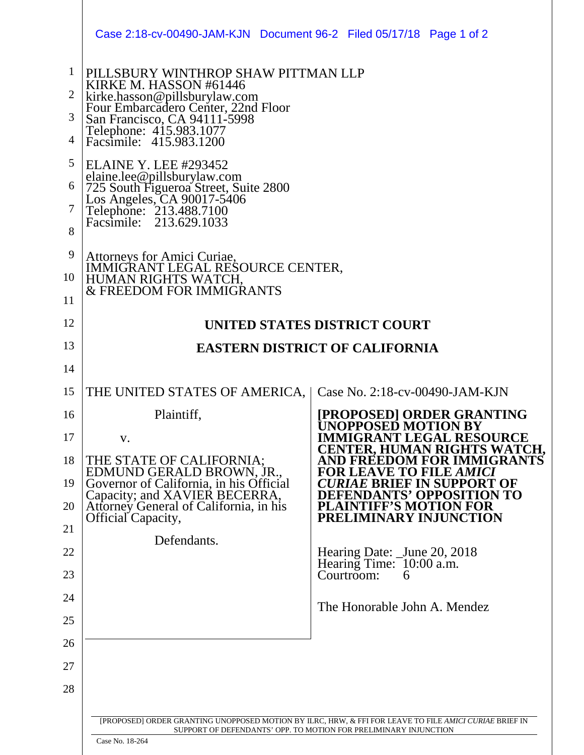|                                                              | Case 2:18-cv-00490-JAM-KJN Document 96-2 Filed 05/17/18 Page 1 of 2                                                                                                                                                                                                                                                                                                                                                                           |                                                                                                                                                                            |
|--------------------------------------------------------------|-----------------------------------------------------------------------------------------------------------------------------------------------------------------------------------------------------------------------------------------------------------------------------------------------------------------------------------------------------------------------------------------------------------------------------------------------|----------------------------------------------------------------------------------------------------------------------------------------------------------------------------|
| $\mathbf{1}$<br>$\overline{2}$<br>3<br>4<br>5<br>6<br>7<br>8 | PILLSBURY WINTHROP SHAW PITTMAN LLP<br>KIRKE M. HASSON #61446<br>kirke.hasson@pillsburylaw.com<br>Four Embarcadero Center, 22nd Floor<br>San Francisco, CA 94111-5998<br>Telephone: 415.983.1077<br>Facsimile: 415.983.1200<br><b>ELAINE Y. LEE #293452</b><br>EET THE RELEVELTED<br>elaine.lee@pillsburylaw.com<br>725 South Figueroa Street, Suite 2800<br>Los Angeles, CA 90017-5406<br>Telephone: 213.488.7100<br>Facsimile: 213.629.1033 |                                                                                                                                                                            |
| 9                                                            |                                                                                                                                                                                                                                                                                                                                                                                                                                               |                                                                                                                                                                            |
| 10                                                           | Attorneys for Amici Curiae,<br>IMMIGRANT LEGAL RESOURCE CENTER,<br>HUMAN RIGHTS WATCH,                                                                                                                                                                                                                                                                                                                                                        |                                                                                                                                                                            |
| 11                                                           | <b>&amp; FREEDOM FOR IMMIGRANTS</b>                                                                                                                                                                                                                                                                                                                                                                                                           |                                                                                                                                                                            |
| 12                                                           |                                                                                                                                                                                                                                                                                                                                                                                                                                               | UNITED STATES DISTRICT COURT                                                                                                                                               |
| 13                                                           |                                                                                                                                                                                                                                                                                                                                                                                                                                               | <b>EASTERN DISTRICT OF CALIFORNIA</b>                                                                                                                                      |
| 14                                                           |                                                                                                                                                                                                                                                                                                                                                                                                                                               |                                                                                                                                                                            |
| 15                                                           | THE UNITED STATES OF AMERICA,                                                                                                                                                                                                                                                                                                                                                                                                                 | Case No. $2:18$ -cv-00490-JAM-KJN                                                                                                                                          |
| 16                                                           | Plaintiff,                                                                                                                                                                                                                                                                                                                                                                                                                                    | [PROPOSED] ORDER GRANTING                                                                                                                                                  |
| 17                                                           | V.                                                                                                                                                                                                                                                                                                                                                                                                                                            | UNOPPOSED MOTION BY<br><b>IMMIGRANT LEGAL RESOURCE</b>                                                                                                                     |
| 18                                                           | THE STATE OF CALIFORNIA;                                                                                                                                                                                                                                                                                                                                                                                                                      | CENTER. HUMAN RIGHTS WATCH.<br>OR IMMIGRANTS<br><b>AND FREEDOM FO</b>                                                                                                      |
| 19                                                           | EDMUND GERALD BROWN, JR., Governor of California, in his Official                                                                                                                                                                                                                                                                                                                                                                             | <b>BRIEF IN SUPPORT OF</b><br>ON TO                                                                                                                                        |
| 20                                                           | Capacity; and XAVIER BECERRA,<br>Attorney General of California, in his<br>Official Capacity,                                                                                                                                                                                                                                                                                                                                                 | EFENDANTS' OPPOSITI<br><b>LAINTIFF'S MOTION FOR</b><br>PRELIMINARY INJUNCTION                                                                                              |
| 21                                                           | Defendants.                                                                                                                                                                                                                                                                                                                                                                                                                                   |                                                                                                                                                                            |
| 22                                                           |                                                                                                                                                                                                                                                                                                                                                                                                                                               | Hearing Date: <u>June</u> 20, 2018<br>Hearing Time: 10:00 a.m.                                                                                                             |
| 23                                                           |                                                                                                                                                                                                                                                                                                                                                                                                                                               | Courtroom:<br>6                                                                                                                                                            |
| 24                                                           |                                                                                                                                                                                                                                                                                                                                                                                                                                               | The Honorable John A. Mendez                                                                                                                                               |
| 25                                                           |                                                                                                                                                                                                                                                                                                                                                                                                                                               |                                                                                                                                                                            |
| 26                                                           |                                                                                                                                                                                                                                                                                                                                                                                                                                               |                                                                                                                                                                            |
| 27                                                           |                                                                                                                                                                                                                                                                                                                                                                                                                                               |                                                                                                                                                                            |
| 28                                                           |                                                                                                                                                                                                                                                                                                                                                                                                                                               |                                                                                                                                                                            |
|                                                              |                                                                                                                                                                                                                                                                                                                                                                                                                                               | [PROPOSED] ORDER GRANTING UNOPPOSED MOTION BY ILRC, HRW, & FFI FOR LEAVE TO FILE AMICI CURIAE BRIEF IN<br>SUPPORT OF DEFENDANTS' OPP. TO MOTION FOR PRELIMINARY INJUNCTION |

Case No. 18-264